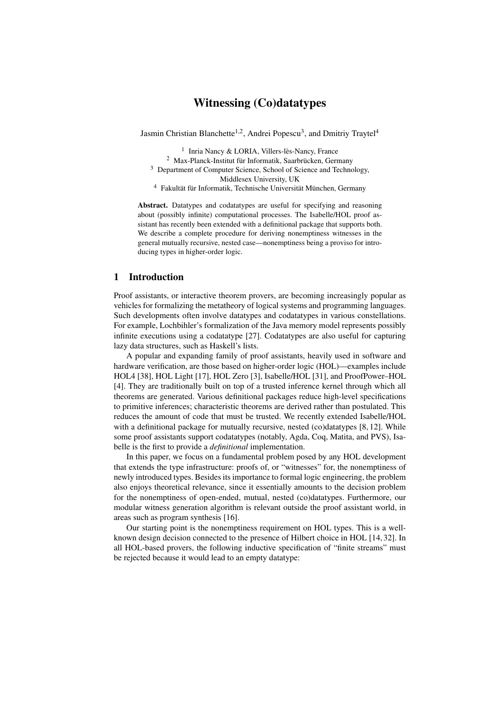# Witnessing (Co)datatypes

Jasmin Christian Blanchette<sup>1,2</sup>, Andrei Popescu<sup>3</sup>, and Dmitriy Traytel<sup>4</sup>

1 Inria Nancy & LORIA, Villers-lès-Nancy, France

<sup>2</sup> Max-Planck-Institut für Informatik, Saarbrücken, Germany

<sup>3</sup> Department of Computer Science, School of Science and Technology,

Middlesex University, UK

<sup>4</sup> Fakultät für Informatik, Technische Universität München, Germany

Abstract. Datatypes and codatatypes are useful for specifying and reasoning about (possibly infinite) computational processes. The Isabelle/HOL proof assistant has recently been extended with a definitional package that supports both. We describe a complete procedure for deriving nonemptiness witnesses in the general mutually recursive, nested case—nonemptiness being a proviso for introducing types in higher-order logic.

## <span id="page-0-0"></span>1 Introduction

Proof assistants, or interactive theorem provers, are becoming increasingly popular as vehicles for formalizing the metatheory of logical systems and programming languages. Such developments often involve datatypes and codatatypes in various constellations. For example, Lochbihler's formalization of the Java memory model represents possibly infinite executions using a codatatype [\[27\]](#page-20-0). Codatatypes are also useful for capturing lazy data structures, such as Haskell's lists.

A popular and expanding family of proof assistants, heavily used in software and hardware verification, are those based on higher-order logic (HOL)—examples include HOL4 [\[38\]](#page-21-0), HOL Light [\[17\]](#page-20-1), HOL Zero [\[3\]](#page-19-0), Isabelle/HOL [\[31\]](#page-21-1), and ProofPower–HOL [\[4\]](#page-19-1). They are traditionally built on top of a trusted inference kernel through which all theorems are generated. Various definitional packages reduce high-level specifications to primitive inferences; characteristic theorems are derived rather than postulated. This reduces the amount of code that must be trusted. We recently extended Isabelle/HOL with a definitional package for mutually recursive, nested (co)datatypes [\[8,](#page-20-2) [12\]](#page-20-3). While some proof assistants support codatatypes (notably, Agda, Coq, Matita, and PVS), Isabelle is the first to provide a *definitional* implementation.

In this paper, we focus on a fundamental problem posed by any HOL development that extends the type infrastructure: proofs of, or "witnesses" for, the nonemptiness of newly introduced types. Besides its importance to formal logic engineering, the problem also enjoys theoretical relevance, since it essentially amounts to the decision problem for the nonemptiness of open-ended, mutual, nested (co)datatypes. Furthermore, our modular witness generation algorithm is relevant outside the proof assistant world, in areas such as program synthesis [\[16\]](#page-20-4).

Our starting point is the nonemptiness requirement on HOL types. This is a wellknown design decision connected to the presence of Hilbert choice in HOL [\[14,](#page-20-5) [32\]](#page-21-2). In all HOL-based provers, the following inductive specification of "finite streams" must be rejected because it would lead to an empty datatype: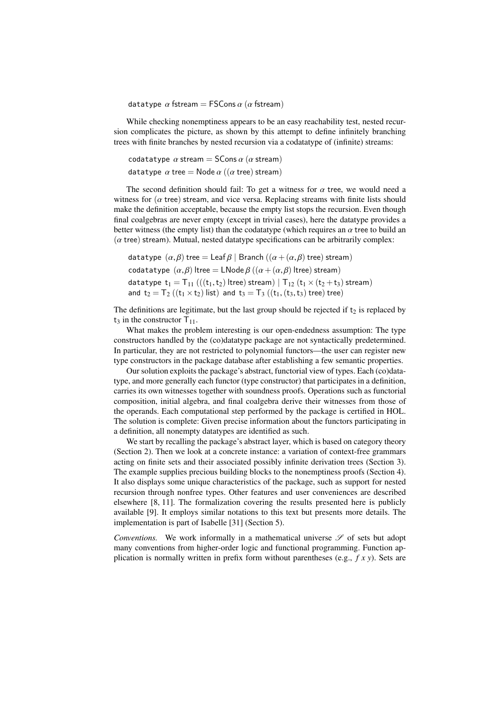datatype  $\alpha$  fstream = FSCons  $\alpha$  ( $\alpha$  fstream)

While checking nonemptiness appears to be an easy reachability test, nested recursion complicates the picture, as shown by this attempt to define infinitely branching trees with finite branches by nested recursion via a codatatype of (infinite) streams:

codatatype  $\alpha$  stream = SCons  $\alpha$  ( $\alpha$  stream) datatype  $\alpha$  tree = Node  $\alpha$  (( $\alpha$  tree) stream)

The second definition should fail: To get a witness for  $\alpha$  tree, we would need a witness for  $(\alpha \text{ tree})$  stream, and vice versa. Replacing streams with finite lists should make the definition acceptable, because the empty list stops the recursion. Even though final coalgebras are never empty (except in trivial cases), here the datatype provides a better witness (the empty list) than the codatatype (which requires an  $\alpha$  tree to build an  $(\alpha$  tree) stream). Mutual, nested datatype specifications can be arbitrarily complex:

datatype 
$$
(\alpha, \beta)
$$
 tree =  $\text{Leaf } \beta$  | Branch  $((\alpha + (\alpha, \beta) \text{ tree}) \text{ stream})$   
codatotype  $(\alpha, \beta)$  three =  $\text{LNode } \beta ((\alpha + (\alpha, \beta) \text{ tree}) \text{ stream})$   
datatype  $t_1 = T_{11} (((t_1, t_2) \text{ three}) \text{ stream}) | T_{12} (t_1 \times (t_2 + t_3) \text{ stream})$   
and  $t_2 = T_2 ((t_1 \times t_2) \text{ list})$  and  $t_3 = T_3 ((t_1, (t_3, t_3) \text{ tree}) \text{ tree})$ 

The definitions are legitimate, but the last group should be rejected if  $t_2$  is replaced by  $t_3$  in the constructor  $T_{11}$ .

What makes the problem interesting is our open-endedness assumption: The type constructors handled by the (co)datatype package are not syntactically predetermined. In particular, they are not restricted to polynomial functors—the user can register new type constructors in the package database after establishing a few semantic properties.

Our solution exploits the package's abstract, functorial view of types. Each (co)datatype, and more generally each functor (type constructor) that participates in a definition, carries its own witnesses together with soundness proofs. Operations such as functorial composition, initial algebra, and final coalgebra derive their witnesses from those of the operands. Each computational step performed by the package is certified in HOL. The solution is complete: Given precise information about the functors participating in a definition, all nonempty datatypes are identified as such.

We start by recalling the package's abstract layer, which is based on category theory (Section [2\)](#page-2-0). Then we look at a concrete instance: a variation of context-free grammars acting on finite sets and their associated possibly infinite derivation trees (Section [3\)](#page-5-0). The example supplies precious building blocks to the nonemptiness proofs (Section [4\)](#page-8-0). It also displays some unique characteristics of the package, such as support for nested recursion through nonfree types. Other features and user conveniences are described elsewhere [\[8,](#page-20-2) [11\]](#page-20-6). The formalization covering the results presented here is publicly available [\[9\]](#page-20-7). It employs similar notations to this text but presents more details. The implementation is part of Isabelle [\[31\]](#page-21-1) (Section [5\)](#page-17-0).

*Conventions.* We work informally in a mathematical universe  $S$  of sets but adopt many conventions from higher-order logic and functional programming. Function application is normally written in prefix form without parentheses (e.g., *f x y*). Sets are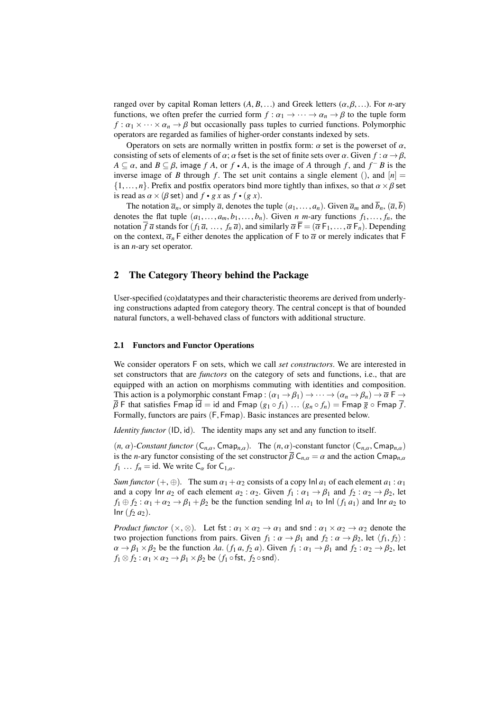ranged over by capital Roman letters  $(A, B, ...)$  and Greek letters  $(\alpha, \beta, ...)$ . For *n*-ary functions, we often prefer the curried form  $f : \alpha_1 \to \cdots \to \alpha_n \to \beta$  to the tuple form  $f: \alpha_1 \times \cdots \times \alpha_n \to \beta$  but occasionally pass tuples to curried functions. Polymorphic operators are regarded as families of higher-order constants indexed by sets.

Operators on sets are normally written in postfix form:  $\alpha$  set is the powerset of  $\alpha$ , consisting of sets of elements of  $\alpha$ ;  $\alpha$  fset is the set of finite sets over  $\alpha$ . Given  $f : \alpha \to \beta$ , *A* ⊆  $\alpha$ , and *B* ⊆  $\beta$ , image *f A*, or *f* • *A*, is the image of *A* through *f*, and *f* − *B* is the inverse image of *B* through *f*. The set unit contains a single element () and  $[n]$  − inverse image of *B* through *f*. The set unit contains a single element (), and  $[n] =$  $\{1, \ldots, n\}$ . Prefix and postfix operators bind more tightly than infixes, so that  $\alpha \times \beta$  set is read as  $\alpha \times (\beta \text{ set})$  and  $f \cdot g x$  as  $f \cdot (g x)$ .

The notation  $\overline{a}_n$ , or simply  $\overline{a}$ , denotes the tuple  $(a_1, \ldots, a_n)$ . Given  $\overline{a}_m$  and  $\overline{b}_n$ ,  $(\overline{a}, \overline{b})$ denotes the flat tuple  $(a_1, \ldots, a_m, b_1, \ldots, b_n)$ . Given *n m*-ary functions  $f_1, \ldots, f_n$ , the notation  $\overline{f}$   $\overline{a}$  stands for  $(f_1 \overline{a}, \ldots, f_n \overline{a})$ , and similarly  $\overline{\alpha}$   $\overline{F} = (\overline{\alpha} F_1, \ldots, \overline{\alpha} F_n)$ . Depending on the context,  $\overline{\alpha}_n$  F either denotes the application of F to  $\overline{\alpha}$  or merely indicates that F is an *n*-ary set operator.

## <span id="page-2-0"></span>2 The Category Theory behind the Package

User-specified (co)datatypes and their characteristic theorems are derived from underlying constructions adapted from category theory. The central concept is that of bounded natural functors, a well-behaved class of functors with additional structure.

#### <span id="page-2-1"></span>2.1 Functors and Functor Operations

We consider operators F on sets, which we call *set constructors*. We are interested in set constructors that are *functors* on the category of sets and functions, i.e., that are equipped with an action on morphisms commuting with identities and composition. This action is a polymorphic constant Fmap :  $(\alpha_1 \to \beta_1) \to \cdots \to (\alpha_n \to \beta_n) \to \overline{\alpha}$  F  $\to$  $\overline{\beta}$  F that satisfies Fmap id = id and Fmap  $(g_1 \circ f_1)$  ...  $(g_n \circ f_n)$  = Fmap  $\overline{g}$   $\circ$  Fmap  $\overline{f}$ . Formally, functors are pairs (F, Fmap). Basic instances are presented below.

*Identity functor* (ID, id). The identity maps any set and any function to itself.

 $(n, \alpha)$ -Constant functor  $(C_{n,\alpha}, C_{map,n,\alpha})$ . The  $(n, \alpha)$ -constant functor  $(C_{n,\alpha}, C_{map,n,\alpha})$ is the *n*-ary functor consisting of the set constructor  $\bar{\beta}$  C<sub>*n*, $\alpha$ </sub> =  $\alpha$  and the action Cmap<sub>*n*, $\alpha$ </sub>  $f_1 \ldots f_n = \text{id}$ . We write  $C_\alpha$  for  $C_{1,\alpha}$ .

*Sum functor*  $(+, \oplus)$ . The sum  $\alpha_1 + \alpha_2$  consists of a copy Inl  $a_1$  of each element  $a_1 : \alpha_1$ and a copy Inr  $a_2$  of each element  $a_2 : \alpha_2$ . Given  $f_1 : \alpha_1 \to \beta_1$  and  $f_2 : \alpha_2 \to \beta_2$ , let  $f_1 \oplus f_2 : \alpha_1 + \alpha_2 \rightarrow \beta_1 + \beta_2$  be the function sending  $\text{Inl } a_1$  to  $\text{Inl } (f_1 a_1)$  and  $\text{Inr } a_2$  to  $\ln r$  ( $f_2 a_2$ ).

*Product functor*  $(\times, \otimes)$ . Let fst :  $\alpha_1 \times \alpha_2 \rightarrow \alpha_1$  and snd :  $\alpha_1 \times \alpha_2 \rightarrow \alpha_2$  denote the two projection functions from pairs. Given  $f_1: \alpha \to \beta_1$  and  $f_2: \alpha \to \beta_2$ , let  $\langle f_1, f_2 \rangle$ :  $\alpha \rightarrow \beta_1 \times \beta_2$  be the function  $\lambda a$ . ( $f_1 a, f_2 a$ ). Given  $f_1 : \alpha_1 \rightarrow \beta_1$  and  $f_2 : \alpha_2 \rightarrow \beta_2$ , let  $f_1 \otimes f_2 : \alpha_1 \times \alpha_2 \rightarrow \beta_1 \times \beta_2$  be  $\langle f_1 \circ \text{fst}, f_2 \circ \text{snd} \rangle$ .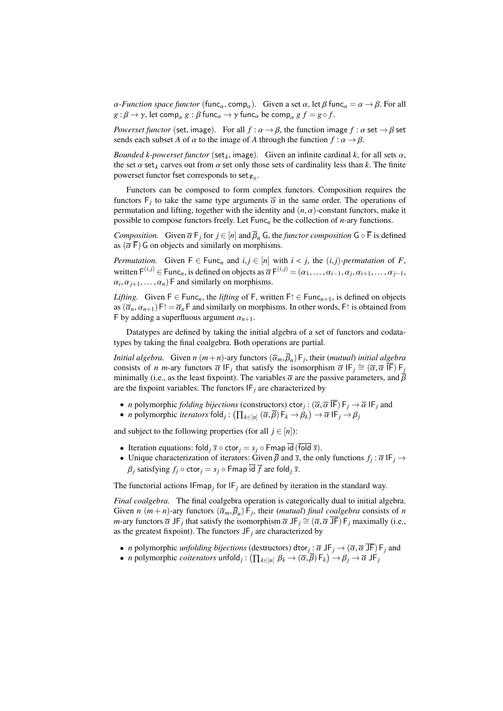$\alpha$ *-Function space functor* (func<sub>α</sub>, comp<sub>α</sub>). Given a set  $\alpha$ , let  $\beta$  func<sub>α</sub> =  $\alpha \rightarrow \beta$ . For all  $g : \beta \to \gamma$ , let comp<sub>α</sub>  $g : \beta$  func<sub>α</sub>  $\to \gamma$  func<sub>α</sub> be comp<sub>α</sub>  $g f = g \circ f$ .

*Powerset functor* (set, image). For all  $f : \alpha \to \beta$ , the function image  $f : \alpha$  set  $\to \beta$  set sends each subset *A* of  $\alpha$  to the image of *A* through the function  $f : \alpha \to \beta$ .

*Bounded k-powerset functor* (set<sub>k</sub>, image). Given an infinite cardinal k, for all sets  $\alpha$ , the set  $\alpha$  set  $\alpha$  set out from  $\alpha$  set only those sets of cardinality less than  $k$ . The finite powerset functor fset corresponds to set  $x_0$ .

Functors can be composed to form complex functors. Composition requires the functors  $F_j$  to take the same type arguments  $\overline{\alpha}$  in the same order. The operations of permutation and lifting together with the identity and  $(n, \alpha)$ -constant functors, make it permutation and lifting, together with the identity and  $(n, \alpha)$ -constant functors, make it possible to compose functors freely. Let Func*<sup>n</sup>* be the collection of *n*-ary functions.

*Composition.* Given  $\overline{\alpha}$   $\overline{F}_i$  for  $j \in [n]$  and  $\overline{\beta}_n$  G, the *functor composition*  $G \circ \overline{F}$  is defined as  $(\overline{\alpha} \overline{\mathsf{F}})$  G on objects and similarly on morphisms.

*Permutation.* Given  $F \in \text{Func}_n$  and  $i, j \in [n]$  with  $i < j$ , the  $(i, j)$ *-permutation* of *F*, written  $F^{(i,j)} \in \text{Func}_n$ , is defined on objects as  $\overline{\alpha} F^{(i,j)} = (\alpha_1, \dots, \alpha_{i-1}, \alpha_j, \alpha_{i+1}, \dots, \alpha_{j-1},$ <br> $\alpha : \alpha \mapsto \alpha$ ,  $\beta$  and similarly on morphisms  $(\alpha_i, \alpha_{j+1}, \dots, \alpha_n)$  F and similarly on morphisms.

*Lifting.* Given  $F \in \text{Func}_n$ , the *lifting* of F, written  $F \uparrow \in \text{Func}_{n+1}$ , is defined on objects as  $(\overline{\alpha}_n, \alpha_{n+1})$ F↑ =  $\overline{\alpha}_n$ F and similarly on morphisms. In other words, F↑ is obtained from F by adding a superfluous argument  $\alpha_{n+1}$ .

Datatypes are defined by taking the initial algebra of a set of functors and codatatypes by taking the final coalgebra. Both operations are partial.

*Initial algebra.* Given *n*  $(m+n)$ -ary functors  $(\overline{\alpha}_m, \overline{\beta}_n) F_j$ , their (*mutual*) *initial algebra*<br>consists of *n* m-ary functors  $\overline{\alpha}$  IE, that satisfy the isomorphism  $\overline{\alpha}$  IE,  $\approx (\overline{\alpha} \ \overline{\alpha})E$ consists of *n m*-ary functors  $\overline{\alpha}$  IF<sub>j</sub> that satisfy the isomorphism  $\overline{\alpha}$  IF<sub>j</sub>  $\cong$   $(\overline{\alpha}, \overline{\alpha}$  IF<sub>j</sub> F<sub>j</sub> minimally (i.e., as the least fixpoint). The variables  $\overline{\alpha}$  are the passive parameters, and  $\over$ minimally (i.e., as the least fixpoint). The variables  $\bar{\alpha}$  are the passive parameters, and  $\bar{\beta}$ are the fixpoint variables. The functors  $IF<sub>i</sub>$  are characterized by

- *n* polymorphic *folding bijections* (constructors) ctor<sub>*j*</sub>:  $(\overline{\alpha}, \overline{\alpha} \text{ IF}) \text{ F}_j \rightarrow \overline{\alpha} \text{ IF}_j$  and<br>• *n* polymorphic *iterators* fold:  $(\overline{\Pi}, \mu) (\overline{\alpha}, \overline{\beta}) \text{ F}_i \rightarrow \beta$ ,  $\rightarrow \overline{\alpha} \text{ IF}_i \rightarrow \beta$ .
- *n* polymorphic *iterators* fold<sub>*j*</sub>:  $(\prod_{k \in [n]} (\overline{\alpha}, \overline{\beta}) \ F_k \to \beta_k) \to \overline{\alpha} \ IF_j \to \beta_j$

and subject to the following properties (for all  $j \in [n]$ ):

- Iteration equations: fold  $\bar{s} \circ \text{ctor}_i = s_i \circ \text{Fmap} \overline{\text{id}}$  (fold  $\bar{s}$ ).
- Unique characterization of iterators: Given  $\overline{\beta}$  and  $\overline{s}$ , the only functions  $f_j : \overline{\alpha} \Vdash_{\overline{j}} \rightarrow$ <br>  $\beta$  satisfying  $f_j \circ \overline{\alpha}$  for  $\overline{\alpha}$ ,  $\overline{\alpha}$  for  $\overline{\alpha}$  for  $\overline{\beta}$  and  $\overline{\beta}$  $\beta_i$  satisfying  $f_i \circ \text{ctor}_i = s_i \circ \text{Fmap} \overline{id} \overline{f}$  are fold  $\overline{f}$ .

The functorial actions  $\mathsf{IFmap}_j$  for  $\mathsf{IF}_j$  are defined by iteration in the standard way.

*Final coalgebra.* The final coalgebra operation is categorically dual to initial algebra. Given *n* (*m* + *n*)-ary functors  $(\overline{\alpha}_m, \overline{\beta}_n)$   $F_j$ , their (*mutual*) *final coalgebra* consists of *n m*-ary functors  $\overline{\alpha}$  IE, that satisfy the isomorphism  $\overline{\alpha}$  IE,  $\approx (\overline{\alpha} \ \overline{\alpha} \ \overline{\Pi})$  E, maximally *m*-ary functors  $\overline{\alpha}$  JF<sub>j</sub> that satisfy the isomorphism  $\overline{\alpha}$  JF $j \cong (\overline{\alpha}, \overline{\alpha}$  JF $)$ F<sub>j</sub> maximally (i.e., as the greatest fixpoint). The functors JF, are characterized by as the greatest fixpoint). The functors  $JF_j$  are characterized by

- *n* polymorphic *unfolding bijections* (destructors) dtor<sub>*j*</sub>:  $\overline{\alpha}$  JF<sub>*j*</sub>  $\rightarrow$  ( $\overline{\alpha}$ ,  $\overline{\alpha}$  JF)  $\overline{F}$ *j* and<br>• *n* polymorphic *coiterators* unfold:  $(\Pi, \Pi, \Pi, \overline{\alpha}$ ,  $\overline{\alpha}$ ,  $\overline{\alpha}$ ,  $\overline{\beta}$ ,  $\overline$
- *n* polymorphic *coiterators* unfold<sub>*j*</sub>:  $(\prod_{k \in [n]} \beta_k \to (\overline{\alpha}, \overline{\beta}) \ F_k) \to \beta_j \to \overline{\alpha} JF_j$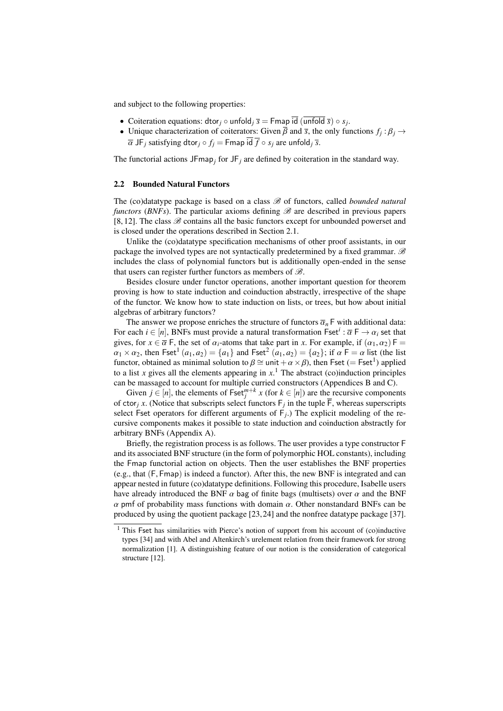and subject to the following properties:

- Coiteration equations: dtor<sub>*j*</sub>  $\circ$  unfold<sub>*j*</sub>  $\overline{s}$  = Fmap id (unfold  $\overline{s}$ )  $\circ$  *s<sub>j</sub>*.
- Unique characterization of coiterators: Given  $\overline{\beta}$  and  $\overline{s}$ , the only functions  $f_j : \beta_j \to \overline{\alpha}$  IE estisfying dtax  $\alpha$  f  $\overline{\alpha}$  Eman  $\overline{id}$  f  $\alpha$  e are unfold  $\overline{a}$  $\overline{\alpha}$  JF<sub>*j*</sub> satisfying dtor<sub>*j*</sub>  $\circ$  *f<sub>j</sub>* = Fmap  $\overline{id}$   $\overline{f}$   $\circ$  *s<sub>j</sub>* are unfold<sub>*j*</sub>  $\overline{s}$ .

The functorial actions  $JFmap_j$  for  $JF_j$  are defined by coiteration in the standard way.

#### <span id="page-4-1"></span>2.2 Bounded Natural Functors

The (co)datatype package is based on a class  $\mathscr B$  of functors, called *bounded natural functors* (*BNFs*). The particular axioms defining  $\mathscr{B}$  are described in previous papers [\[8,](#page-20-2) [12\]](#page-20-3). The class  $\mathscr{B}$  contains all the basic functors except for unbounded powerset and is closed under the operations described in Section [2.1.](#page-2-1)

Unlike the (co)datatype specification mechanisms of other proof assistants, in our package the involved types are not syntactically predetermined by a fixed grammar.  $\mathscr B$ includes the class of polynomial functors but is additionally open-ended in the sense that users can register further functors as members of  $\mathscr{B}$ .

Besides closure under functor operations, another important question for theorem proving is how to state induction and coinduction abstractly, irrespective of the shape of the functor. We know how to state induction on lists, or trees, but how about initial algebras of arbitrary functors?

The answer we propose enriches the structure of functors  $\overline{\alpha}_n$  F with additional data: For each  $i \in [n]$ , BNFs must provide a natural transformation Fset<sup>*i*</sup>:  $\overline{\alpha} \in \overline{A}$  is et that gives for  $x \in \overline{\alpha}$ . The set of  $\alpha$ -atoms that take part in x. For example if  $(\alpha, \alpha)$ ,  $\overline{B}$ gives, for  $x \in \overline{\alpha}$  F, the set of  $\alpha_i$ -atoms that take part in *x*. For example, if  $(\alpha_1, \alpha_2)$  F =  $\alpha_1 \times \alpha_2$ , then Fset<sup>1</sup>  $(a_1, a_2) = \{a_1\}$  and Fset<sup>2</sup>  $(a_1, a_2) = \{a_2\}$ ; if  $\alpha \in \alpha$  list (the list functor obtained as minimal solution to  $\beta \cong \text{unit} + \alpha \times \beta$ ) then Eset ( $\text{--}$  Fset<sup>1</sup>) annual functor, obtained as minimal solution to  $\beta \cong$  unit  $+\alpha \times \beta$ ), then Fset (= Fset<sup>1</sup>) applied<br>to a list x gives all the elements appearing in x<sup>1</sup>. The abstract (co)induction principles to a list *x* gives all the elements appearing in  $x$ .<sup>[1](#page-4-0)</sup> The abstract (co)induction principles can be massaged to account for multiple curried constructors (Appendices [B](#page-22-0) and [C\)](#page-23-0).

Given  $j \in [n]$ , the elements of Fset<sup> $m+k$ </sup>  $x$  (for  $k \in [n]$ ) are the recursive components of ctor<sub>j</sub> *x*. (Notice that subscripts select functors  $F_j$  in the tuple  $\overline{F}$ , whereas superscripts select Fset operators for different arguments of  $F_j$ .) The explicit modeling of the recursive components makes it possible to state induction and coinduction abstractly for arbitrary BNFs (Appendix [A\)](#page-21-3).

Briefly, the registration process is as follows. The user provides a type constructor F and its associated BNF structure (in the form of polymorphic HOL constants), including the Fmap functorial action on objects. Then the user establishes the BNF properties (e.g., that (F, Fmap) is indeed a functor). After this, the new BNF is integrated and can appear nested in future (co)datatype definitions. Following this procedure, Isabelle users have already introduced the BNF  $\alpha$  bag of finite bags (multisets) over  $\alpha$  and the BNF α pmf of probability mass functions with domain  $α$ . Other nonstandard BNFs can be produced by using the quotient package [\[23,](#page-20-8)[24\]](#page-20-9) and the nonfree datatype package [\[37\]](#page-21-4).

<span id="page-4-0"></span><sup>&</sup>lt;sup>1</sup> This Fset has similarities with Pierce's notion of support from his account of (co)inductive types [\[34\]](#page-21-5) and with Abel and Altenkirch's urelement relation from their framework for strong normalization [\[1\]](#page-19-2). A distinguishing feature of our notion is the consideration of categorical structure [\[12\]](#page-20-3).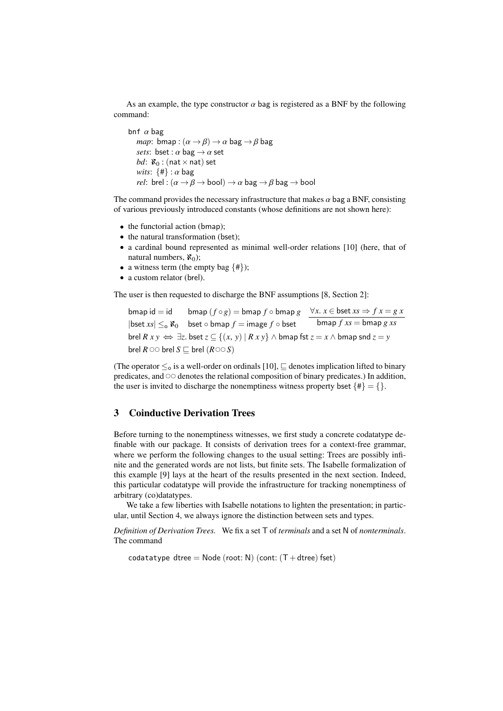As an example, the type constructor  $\alpha$  bag is registered as a BNF by the following command:

```
bnf \alpha bag
    map: bmap : (\alpha \rightarrow \beta) \rightarrow \alpha bag \rightarrow \beta bag
    sets: bset : \alpha bag \rightarrow \alpha set
    bd: \aleph_0: (nat \times nat) set
    wits: \{ \# \} : \alpha bag
    rel: brel : (\alpha \rightarrow \beta \rightarrow \text{bool}) \rightarrow \alpha bag \rightarrow \beta bag \rightarrow bool
```
The command provides the necessary infrastructure that makes  $\alpha$  bag a BNF, consisting of various previously introduced constants (whose definitions are not shown here):

- the functorial action (bmap);
- the natural transformation (bset):
- a cardinal bound represented as minimal well-order relations [\[10\]](#page-20-10) (here, that of natural numbers,  $\aleph_0$ );
- a witness term (the empty bag  $\{\#\}$ );
- a custom relator (brel).

The user is then requested to discharge the BNF assumptions [\[8,](#page-20-2) Section 2]:

bmap id = id bmap  $(f \circ g)$  = bmap  $f \circ b$ map  $g \quad \forall x.$   $x \in \text{bset } xs \Rightarrow f x = g x$  $|\text{best } xs| \leq_{\text{o}} \aleph_0$  bset  $\circ$  bmap  $f = \text{image } f \circ \text{best}$  bmap  $f xs = \text{bmap } g xs$ brel *R x y*  $\Leftrightarrow$  ∃*z*. bset  $z \subseteq \{(x, y) | R x y\}$  ∧ bmap fst  $z = x$  ∧ bmap snd  $z = y$  $\text{brel } R \circ \text{ } \circ \text{brel } S \sqsubset \text{brel } (R \circ \text{ } S)$ 

(The operator  $\leq_0$  is a well-order on ordinals [\[10\]](#page-20-10),  $\sqsubseteq$  denotes implication lifted to binary predicates, and  $\circlearrowright$  denotes the relational composition of binary predicates.) In addition, the user is invited to discharge the nonemptiness witness property bset  $\{\#\} = \{\}.$ 

## <span id="page-5-0"></span>3 Coinductive Derivation Trees

Before turning to the nonemptiness witnesses, we first study a concrete codatatype definable with our package. It consists of derivation trees for a context-free grammar, where we perform the following changes to the usual setting: Trees are possibly infinite and the generated words are not lists, but finite sets. The Isabelle formalization of this example [\[9\]](#page-20-7) lays at the heart of the results presented in the next section. Indeed, this particular codatatype will provide the infrastructure for tracking nonemptiness of arbitrary (co)datatypes.

We take a few liberties with Isabelle notations to lighten the presentation; in particular, until Section [4,](#page-8-0) we always ignore the distinction between sets and types.

*Definition of Derivation Trees.* We fix a set T of *terminals* and a set N of *nonterminals*. The command

codatatype dtree = Node (root: N) (cont:  $(T+dt)$  fset)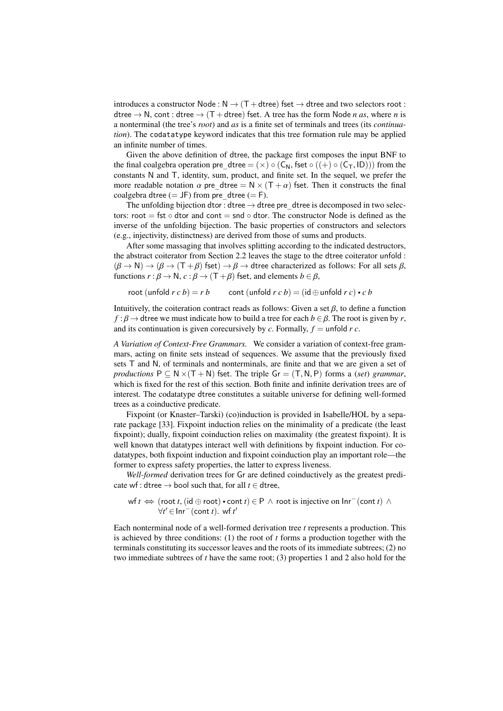introduces a constructor Node :  $N \rightarrow (T+dt$ ree) fset  $\rightarrow dt$ ree and two selectors root : dtree  $\rightarrow$  N, cont : dtree  $\rightarrow$  (T + dtree) fset. A tree has the form Node *n as*, where *n* is a nonterminal (the tree's *root*) and *as* is a finite set of terminals and trees (its *continuation*). The codatatype keyword indicates that this tree formation rule may be applied an infinite number of times.

Given the above definition of dtree, the package first composes the input BNF to the final coalgebra operation pre dtree =  $(x) \circ (C_N, \text{fset} \circ ((+) \circ (C_T, \text{ID})))$  from the constants N and T, identity, sum, product, and finite set. In the sequel, we prefer the more readable notation  $\alpha$  pre dtree = N  $\times$  (T +  $\alpha$ ) fset. Then it constructs the final coalgebra dtree  $(= JF)$  from pre dtree  $(= F)$ .

The unfolding bijection dtor : dtree  $\rightarrow$  dtree pre\_dtree is decomposed in two selectors: root = fst ∘ dtor and cont = snd ∘ dtor. The constructor Node is defined as the inverse of the unfolding bijection. The basic properties of constructors and selectors (e.g., injectivity, distinctness) are derived from those of sums and products.

After some massaging that involves splitting according to the indicated destructors, the abstract coiterator from Section [2.2](#page-4-1) leaves the stage to the dtree coiterator unfold :  $(\beta \to N) \to (\beta \to (T + \beta)$  fset)  $\to \beta \to$  dtree characterized as follows: For all sets  $\beta$ , functions  $r : \beta \to \mathbb{N}$ ,  $c : \beta \to (\mathsf{T} + \beta)$  fset, and elements  $b \in \beta$ ,

root (unfold 
$$
r c b
$$
) =  $r b$  cont (unfold  $r c b$ ) = (id  $\oplus$  unfold  $r c$ ) •  $c b$ 

Intuitively, the coiteration contract reads as follows: Given a set  $\beta$ , to define a function  $f : \beta \to \beta$  dtree we must indicate how to build a tree for each  $b \in \beta$ . The root is given by *r*, and its continuation is given corecursively by *c*. Formally,  $f = \text{unfold } r c$ .

*A Variation of Context-Free Grammars.* We consider a variation of context-free grammars, acting on finite sets instead of sequences. We assume that the previously fixed sets T and N, of terminals and nonterminals, are finite and that we are given a set of *productions*  $P \subseteq N \times (T + N)$  fset. The triple  $Gr = (T, N, P)$  forms a (*set*) *grammar*, which is fixed for the rest of this section. Both finite and infinite derivation trees are of interest. The codatatype dtree constitutes a suitable universe for defining well-formed trees as a coinductive predicate.

Fixpoint (or Knaster–Tarski) (co)induction is provided in Isabelle/HOL by a separate package [\[33\]](#page-21-6). Fixpoint induction relies on the minimality of a predicate (the least fixpoint); dually, fixpoint coinduction relies on maximality (the greatest fixpoint). It is well known that datatypes interact well with definitions by fixpoint induction. For codatatypes, both fixpoint induction and fixpoint coinduction play an important role—the former to express safety properties, the latter to express liveness.

*Well-formed* derivation trees for Gr are defined coinductively as the greatest predicate wf : dtree  $\rightarrow$  bool such that, for all  $t \in$  dtree,

$$
\begin{array}{l}\n\text{wf } t \Leftrightarrow (\text{root } t, (\text{id} \oplus \text{root}) \cdot \text{cont } t) \in \mathsf{P} \land \text{root is injective on } \mathsf{Inr}^-(\text{cont } t) \land \\
\forall t' \in \mathsf{Inr}^-(\text{cont } t). \text{ wf } t'\n\end{array}
$$

Each nonterminal node of a well-formed derivation tree *t* represents a production. This is achieved by three conditions:  $(1)$  the root of  $t$  forms a production together with the terminals constituting its successor leaves and the roots of its immediate subtrees; (2) no two immediate subtrees of *t* have the same root; (3) properties 1 and 2 also hold for the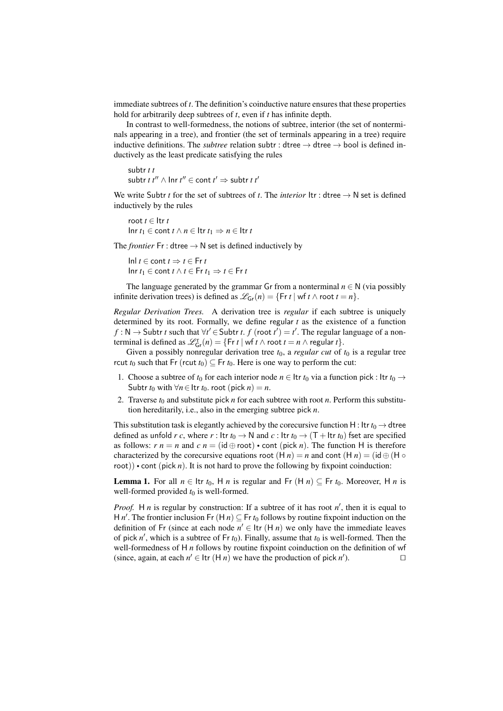immediate subtrees of *t*. The definition's coinductive nature ensures that these properties hold for arbitrarily deep subtrees of *t*, even if *t* has infinite depth.

In contrast to well-formedness, the notions of subtree, interior (the set of nonterminals appearing in a tree), and frontier (the set of terminals appearing in a tree) require inductive definitions. The *subtree* relation subtr : dtree  $\rightarrow$  dtree  $\rightarrow$  bool is defined inductively as the least predicate satisfying the rules

subtr *t t*  $\mathsf{subtr}\; t\; t'' \wedge \mathsf{lnr}\; t'' \in \mathsf{cont}\; t' \Rightarrow \mathsf{subtr}\; t\; t'$ 

We write Subtr *t* for the set of subtrees of *t*. The *interior*  $\text{Itr}$  : dtree  $\rightarrow$  N set is defined inductively by the rules

$$
\begin{aligned}\n\text{root } t \in \text{Itr } t \\
\text{Inr } t_1 \in \text{cont } t \land n \in \text{Itr } t_1 \Rightarrow n \in \text{Itr } t\n\end{aligned}
$$

The *frontier*  $Fr :$  dtree  $\rightarrow$  N set is defined inductively by

Inl *t* ∈ cont *t* ⇒ *t* ∈ Fr *t* Inr *t*<sup>1</sup> ∈ cont *t* ∧ *t* ∈ Fr *t*<sup>1</sup> ⇒ *t* ∈ Fr *t*

The language generated by the grammar Gr from a nonterminal  $n \in N$  (via possibly infinite derivation trees) is defined as  $\mathcal{L}_{Gr}(n) = \{ \text{Fr } t \mid \text{wf } t \wedge \text{root } t = n \}.$ 

*Regular Derivation Trees.* A derivation tree is *regular* if each subtree is uniquely determined by its root. Formally, we define regular *t* as the existence of a function *f* : N → Subtr *t* such that  $\forall t' \in$  Subtr *t*. *f* (root *t*<sup>'</sup>) = *t*'. The regular language of a non-<br>terminal is defined as  $\mathcal{L}^r$  (n) = {Fr *t* | wf *t*  $\wedge$  root *t* = *n*  $\wedge$  regular *t*} terminal is defined as  $\mathscr{L}_{\mathsf{Gr}}^{r}(n) = \{ \mathsf{Fr} \ t \mid \mathsf{wf} \ t \wedge \mathsf{root} \ t = n \wedge \mathsf{regular} \ t \}.$ 

Given a possibly nonregular derivation tree  $t_0$ , a *regular cut* of  $t_0$  is a regular tree rcut  $t_0$  such that Fr (rcut  $t_0$ )  $\subseteq$  Fr  $t_0$ . Here is one way to perform the cut:

- 1. Choose a subtree of  $t_0$  for each interior node  $n \in \text{Itr } t_0$  via a function pick : Itr  $t_0 \rightarrow$ Subtr  $t_0$  with  $\forall n \in \text{Itr } t_0$ . root (pick  $n$ ) = *n*.
- 2. Traverse *t*<sup>0</sup> and substitute pick *n* for each subtree with root *n*. Perform this substitution hereditarily, i.e., also in the emerging subtree pick *n*.

This substitution task is elegantly achieved by the corecursive function H : Itr  $t_0 \rightarrow$  dtree defined as unfold *r c*, where *r* : Itr  $t_0 \rightarrow N$  and *c* : Itr  $t_0 \rightarrow (T + Itr t_0)$  fset are specified as follows:  $r n = n$  and  $c n = (id \oplus root) \cdot cont$  (pick *n*). The function H is therefore characterized by the corecursive equations root  $(H n) = n$  and cont  $(H n) = (id \oplus (H \circ$ root)) • cont (pick *n*). It is not hard to prove the following by fixpoint coinduction:

<span id="page-7-0"></span>**Lemma 1.** For all  $n \in \text{Itr } t_0$ , H *n* is regular and Fr (H *n*)  $\subseteq$  Fr  $t_0$ . Moreover, H *n* is well-formed provided  $t_0$  is well-formed.

*Proof.* H  $n$  is regular by construction: If a subtree of it has root  $n'$ , then it is equal to H *n'*. The frontier inclusion Fr (H *n*)  $\subseteq$  Fr *t*<sub>0</sub> follows by routine fixpoint induction on the definition of Fr (since at each node  $n' \in \text{Itr}(\text{H } n)$  we only have the immediate leaves of pick  $n'$ , which is a subtree of Fr  $t_0$ ). Finally, assume that  $t_0$  is well-formed. Then the well-formedness of H *n* follows by routine fixpoint coinduction on the definition of wf (since, again, at each  $n' \in \text{Itr}(\text{H } n)$  we have the production of pick *n'*  $\Box$ ).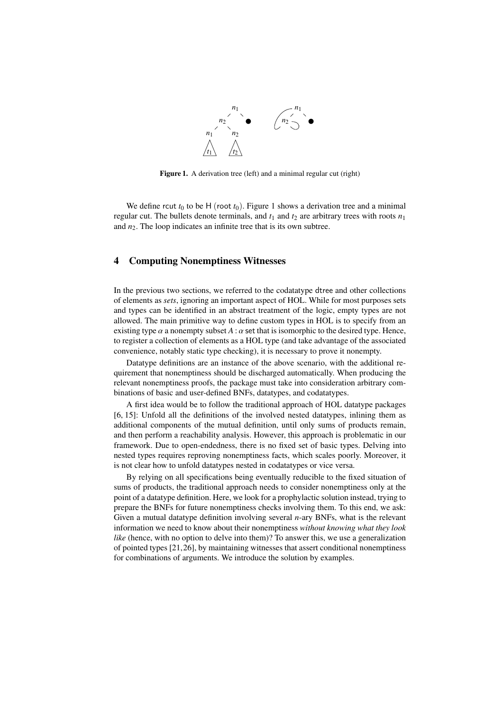

<span id="page-8-1"></span>Figure 1. A derivation tree (left) and a minimal regular cut (right)

We define rcut  $t_0$  to be H (root  $t_0$ ). Figure [1](#page-8-1) shows a derivation tree and a minimal regular cut. The bullets denote terminals, and  $t_1$  and  $t_2$  are arbitrary trees with roots  $n_1$ and  $n_2$ . The loop indicates an infinite tree that is its own subtree.

## <span id="page-8-0"></span>4 Computing Nonemptiness Witnesses

In the previous two sections, we referred to the codatatype dtree and other collections of elements as *sets*, ignoring an important aspect of HOL. While for most purposes sets and types can be identified in an abstract treatment of the logic, empty types are not allowed. The main primitive way to define custom types in HOL is to specify from an existing type  $\alpha$  a nonempty subset  $A : \alpha$  set that is isomorphic to the desired type. Hence, to register a collection of elements as a HOL type (and take advantage of the associated convenience, notably static type checking), it is necessary to prove it nonempty.

Datatype definitions are an instance of the above scenario, with the additional requirement that nonemptiness should be discharged automatically. When producing the relevant nonemptiness proofs, the package must take into consideration arbitrary combinations of basic and user-defined BNFs, datatypes, and codatatypes.

A first idea would be to follow the traditional approach of HOL datatype packages [\[6,](#page-19-3) [15\]](#page-20-11): Unfold all the definitions of the involved nested datatypes, inlining them as additional components of the mutual definition, until only sums of products remain, and then perform a reachability analysis. However, this approach is problematic in our framework. Due to open-endedness, there is no fixed set of basic types. Delving into nested types requires reproving nonemptiness facts, which scales poorly. Moreover, it is not clear how to unfold datatypes nested in codatatypes or vice versa.

By relying on all specifications being eventually reducible to the fixed situation of sums of products, the traditional approach needs to consider nonemptiness only at the point of a datatype definition. Here, we look for a prophylactic solution instead, trying to prepare the BNFs for future nonemptiness checks involving them. To this end, we ask: Given a mutual datatype definition involving several *n*-ary BNFs, what is the relevant information we need to know about their nonemptiness *without knowing what they look like* (hence, with no option to delve into them)? To answer this, we use a generalization of pointed types [\[21,](#page-20-12)[26\]](#page-20-13), by maintaining witnesses that assert conditional nonemptiness for combinations of arguments. We introduce the solution by examples.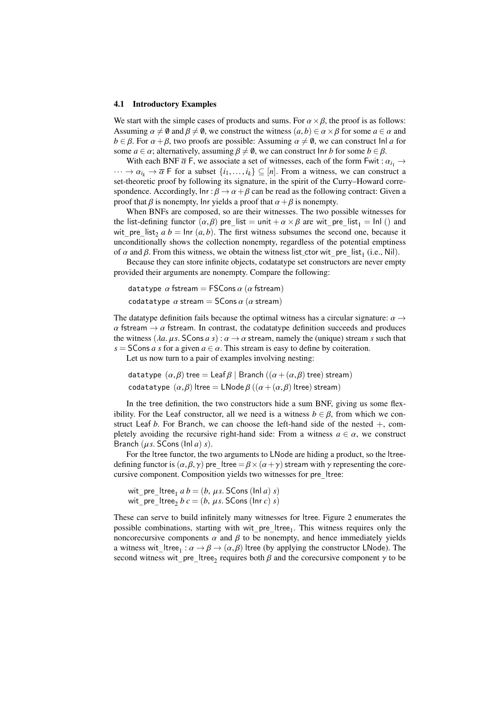## <span id="page-9-0"></span>4.1 Introductory Examples

We start with the simple cases of products and sums. For  $\alpha \times \beta$ , the proof is as follows: Assuming  $\alpha \neq \emptyset$  and  $\beta \neq \emptyset$ , we construct the witness  $(a, b) \in \alpha \times \beta$  for some  $a \in \alpha$  and  $b \in \beta$ . For  $\alpha + \beta$ , two proofs are possible: Assuming  $\alpha \neq \emptyset$ , we can construct lnl *a* for some  $a \in \alpha$ ; alternatively, assuming  $\beta \neq \emptyset$ , we can construct lnr *b* for some  $b \in \beta$ .

With each BNF  $\bar{\alpha}$  F, we associate a set of witnesses, each of the form Fwit :  $\alpha_{i_1} \rightarrow$  $\cdots \rightarrow \alpha_{i_k} \rightarrow \overline{\alpha}$  F for a subset  $\{i_1, \ldots, i_k\} \subseteq [n]$ . From a witness, we can construct a set-theoretic proof by following its signature, in the spirit of the Curry–Howard correspondence. Accordingly,  $\text{Inr}: \beta \to \alpha + \beta$  can be read as the following contract: Given a proof that  $\beta$  is nonempty, Inr yields a proof that  $\alpha + \beta$  is nonempty.

When BNFs are composed, so are their witnesses. The two possible witnesses for the list-defining functor  $(\alpha, \beta)$  pre\_list = unit  $+\alpha \times \beta$  are wit\_pre\_list<sub>1</sub> = lnl () and wit\_pre\_list<sub>2</sub>  $a b = \ln r (a, b)$ . The first witness subsumes the second one, because it<br>unconditionally shows the collection nonempty regardless of the potential emptiness unconditionally shows the collection nonempty, regardless of the potential emptiness of  $\alpha$  and  $\beta$ . From this witness, we obtain the witness list\_ctor wit\_pre\_list<sub>1</sub> (i.e., Nil).<br>Because they can store infinite objects, codatatype set constructors are never emp

Because they can store infinite objects, codatatype set constructors are never empty provided their arguments are nonempty. Compare the following:

datatype  $\alpha$  fstream = FSCons  $\alpha$  ( $\alpha$  fstream)

codatatype  $\alpha$  stream = SCons  $\alpha$  ( $\alpha$  stream)

The datatype definition fails because the optimal witness has a circular signature:  $\alpha \rightarrow$  $\alpha$  fstream  $\rightarrow \alpha$  fstream. In contrast, the codatatype definition succeeds and produces the witness ( $\lambda a$ .  $\mu s$ . SCons  $a s$ ) :  $\alpha \rightarrow \alpha$  stream, namely the (unique) stream *s* such that  $s = S\text{Cons } a s$  for a given  $a \in \alpha$ . This stream is easy to define by coiteration.

Let us now turn to a pair of examples involving nesting:

datatype 
$$
(\alpha, \beta)
$$
tree = Leaf  $\beta$  | Branch  $((\alpha + (\alpha, \beta)$ tree) stream)  
codatatype  $(\alpha, \beta)$ tree = LNode  $\beta ((\alpha + (\alpha, \beta)$ tree) stream)

In the tree definition, the two constructors hide a sum BNF, giving us some flexibility. For the Leaf constructor, all we need is a witness  $b \in \beta$ , from which we construct Leaf *b*. For Branch, we can choose the left-hand side of the nested  $+$ , completely avoiding the recursive right-hand side: From a witness  $a \in \alpha$ , we construct Branch (µ*s*. SCons (Inl *<sup>a</sup>*) *<sup>s</sup>*).

For the ltree functor, the two arguments to LNode are hiding a product, so the ltreedefining functor is  $(\alpha, \beta, \gamma)$  pre ltree  $= \beta \times (\alpha + \gamma)$  stream with  $\gamma$  representing the corecursive component. Composition yields two witnesses for pre\_ltree:

```
wit_pre_ltree<sub>1</sub> a b = (b, \mu s). SCons (\ln a) s)<br>wit_pre_ltree, b c = (b, \mu s). SCons (\ln c) swit_pre_ltree<sub>2</sub> b c = (b, \mu s. SCons (Inr c) s)
```
These can serve to build infinitely many witnesses for ltree. Figure [2](#page-10-0) enumerates the possible combinations, starting with wit\_pre\_ltree<sub>1</sub>. This witness requires only the noncorecursive components  $\alpha$  and  $\beta$  to be nonempty, and hence immediately yields a witness wit\_ltree<sub>1</sub>:  $\alpha \rightarrow \beta \rightarrow (\alpha, \beta)$  ltree (by applying the constructor LNode). The second witness wit\_pre ltree, requires both  $\beta$  and the corecursive component  $\gamma$  to be second witness wit\_pre\_ltree<sub>2</sub> requires both  $\beta$  and the corecursive component  $\gamma$  to be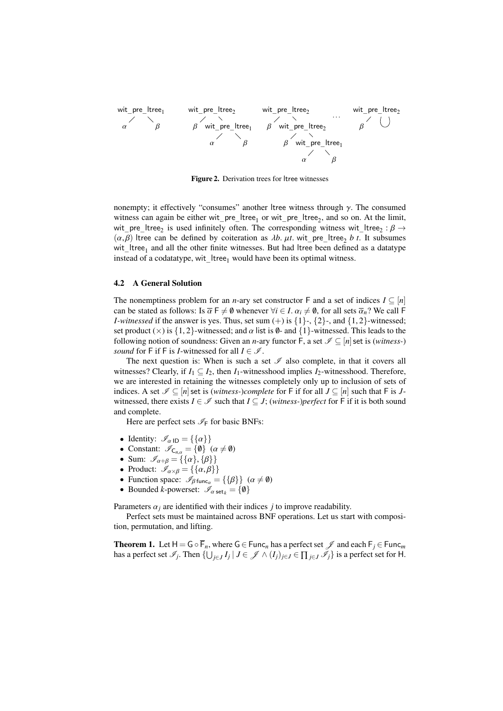

<span id="page-10-0"></span>Figure 2. Derivation trees for ltree witnesses

nonempty; it effectively "consumes" another ltree witness through  $\gamma$ . The consumed witness can again be either wit\_pre\_ltree<sub>1</sub> or wit\_pre\_ltree<sub>2</sub>, and so on. At the limit, wit\_pre\_ltree<sub>2</sub> is used infinitely often. The corresponding witness wit\_ltree<sub>2</sub>:  $\beta \rightarrow$ <br>( $\alpha$   $\beta$ ) ltree can be defined by coiteration as *lb ut* wit pre ltree, *b t* It subsumes  $(\alpha, \beta)$  ltree can be defined by coiteration as  $\lambda b$ .  $\mu t$ . wit\_pre\_ltree<sub>2</sub> b t. It subsumes wit\_ltree<sub>1</sub> and all the other finite witnesses. But had ltree been defined as a datatype instead of a codatatype, wit  $ltree_1$  would have been its optimal witness.

#### 4.2 A General Solution

The nonemptiness problem for an *n*-ary set constructor F and a set of indices  $I \subseteq [n]$ can be stated as follows: Is  $\overline{\alpha} \in \overline{B} \neq \emptyset$  whenever  $\forall i \in I$ .  $\alpha_i \neq \emptyset$ , for all sets  $\overline{\alpha}_n$ ? We call F *I-witnessed* if the answer is yes. Thus, set sum  $(+)$  is  $\{1\}$ -,  $\{2\}$ -, and  $\{1, 2\}$ -witnessed; set product ( $\times$ ) is {1, 2}-witnessed; and  $\alpha$  list is  $\emptyset$ - and {1}-witnessed. This leads to the following notion of soundness: Given an *n*-ary functor F, a set  $\mathcal{I} \subseteq [n]$  set is (*witness*-) *sound* for F if F is *I*-witnessed for all  $I \in \mathcal{I}$ .

The next question is: When is such a set  $\mathscr I$  also complete, in that it covers all witnesses? Clearly, if  $I_1 \subseteq I_2$ , then  $I_1$ -witnesshood implies  $I_2$ -witnesshood. Therefore, we are interested in retaining the witnesses completely only up to inclusion of sets of indices. A set  $\mathcal{I} \subseteq [n]$  set is (*witness-*)*complete* for F if for all  $J \subseteq [n]$  such that F is *J*witnessed, there exists  $I \in \mathcal{I}$  such that  $I \subseteq J$ ; (*witness-*)*perfect* for F if it is both sound and complete.

Here are perfect sets  $\mathcal{I}_F$  for basic BNFs:

- Identity:  $\mathcal{I}_{\alpha}{}_{\text{ID}} = {\{\alpha\}}$
- Constant:  $\mathcal{I}_{C_{n,\alpha}} = \{ \emptyset \} \ (\alpha \neq \emptyset)$ <br>• Sum:  $\mathcal{I}_{\alpha,\alpha} = \{ \mathcal{I}_{\alpha} \} \ (\alpha \neq \emptyset)$
- Sum:  $\mathcal{I}_{\alpha+\beta} = {\{\{\alpha\},\{\beta\}\}}$ <br>• Product:  $\mathcal{I}_{\alpha} = \{J_{\alpha}, \beta\}$
- Product:  $\mathscr{I}_{\alpha\times\beta} = \{\{\alpha,\beta\}\}\$
- Function space:  $\mathscr{I}_{\beta \text{func}_{\alpha}} = {\{\beta\}} (a \neq 0)$
- Bounded *k*-powerset:  $\mathcal{I}_{\alpha \text{ set}_k} = \{\emptyset\}$

Parameters  $\alpha_i$  are identified with their indices *j* to improve readability.

Perfect sets must be maintained across BNF operations. Let us start with composition, permutation, and lifting.

<span id="page-10-1"></span>**Theorem 1.** Let  $H = G \circ \overline{F}_n$ , where  $G \in Fun_{C_n}$  has a perfect set  $\mathcal{J}$  and each  $F_j \in Fun_{C_m}$ has a perfect set  $\mathscr{I}_j$ . Then  $\{\bigcup_{j\in J} I_j \mid J\in \mathscr{J} \wedge (I_j)_{j\in J} \in \prod_{j\in J} \mathscr{I}_j\}$  is a perfect set for H.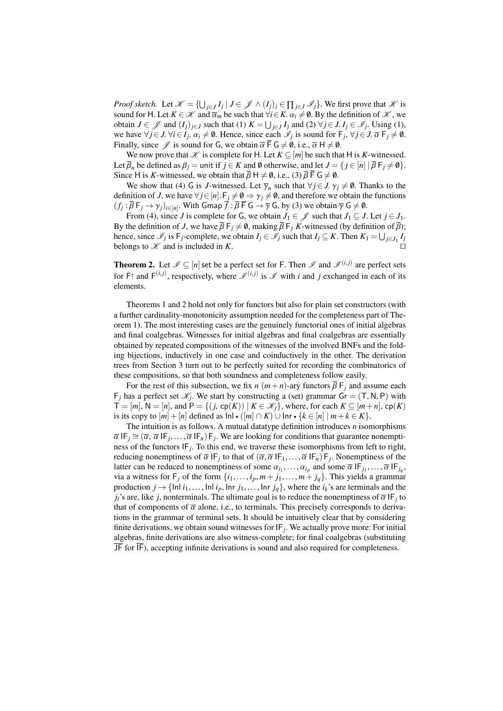*Proof sketch.* Let  $\mathcal{K} = \{ \bigcup_{j \in J} I_j \mid J \in \mathcal{J} \wedge (I_j)_j \in \prod_{j \in J} \mathcal{I}_j \}$ . We first prove that  $\mathcal{K}$  is sound for H. Let  $K \in \mathcal{K}$  and  $\overline{\alpha}_m$  be such that  $\forall i \in K$ .  $\alpha_i \neq \emptyset$ . By the definition of  $\mathcal{K}$ , we obtain *J* ∈  $\mathcal{J}$  and  $(I_j)_{j \in J}$  such that (1)  $K = \bigcup_{j \in J} I_j$  and (2)  $\forall j \in J$ .  $I_j \in \mathcal{J}_j$ . Using (1), we have  $\forall i \in I$   $\forall i \in I$ .  $\alpha \in \mathcal{J}$ . Hence since each  $\mathcal{J}_i$  is sound for  $F : \forall i \in I$ ,  $\overline{\alpha} F : \mathcal{J}$ we have  $\forall j \in J$ .  $\forall i \in I_j$ .  $\alpha_i \neq \emptyset$ . Hence, since each  $\mathcal{I}_j$  is sound for  $F_j$ ,  $\forall j \in J$ .  $\overline{\alpha} F_j \neq \emptyset$ .<br>Finally since  $\mathcal{I}_j$  is sound for  $G$ , we obtain  $\overline{\alpha} F G \neq \emptyset$ , i.e.  $\overline{\alpha} H \neq \emptyset$ . Finally, since  $\mathscr{J}$  is sound for G, we obtain  $\overline{\alpha} \overline{\mathsf{F}}$  G  $\neq \emptyset$ , i.e.,  $\overline{\alpha}$  H  $\neq \emptyset$ .

We now prove that  $K$  is complete for H. Let  $K \subseteq [m]$  be such that H is *K*-witnessed. Let  $\overline{\beta}_n$  be defined as  $\beta_j = \text{unit if } j \in K$  and  $\emptyset$  otherwise, and let  $J = \{j \in [n] \mid \overline{\beta} \ F_j \neq \emptyset\}.$ Since H is *K*-witnessed, we obtain that  $\overline{\beta}$  H  $\neq$  0, i.e., (3)  $\overline{\beta}$  F G  $\neq$  0.

We show that (4) G is *J*-witnessed. Let  $\overline{\gamma}_n$  such that  $\forall j \in J$ .  $\gamma_j \neq \emptyset$ . Thanks to the pittion of *L* we have  $\forall i \in [n]$ .  $F \neq \emptyset \Rightarrow \gamma_i \neq \emptyset$  and therefore we obtain the functions definition of *J*, we have  $\forall j \in [n]$ .  $F_j \neq \emptyset \Rightarrow \gamma_j \neq \emptyset$ , and therefore we obtain the functions  $(f_j : \overline{\beta} \mathsf{F}_j \to \gamma_j)_{i \in [n]}$ . With Gmap  $\overline{f} : \overline{\beta} \mathsf{F} \mathsf{G} \to \overline{\gamma} \mathsf{G}$ , by (3) we obtain  $\overline{\gamma} \mathsf{G} \neq \emptyset$ .<br>From (4) since *L* is complete for *G*, we obtain *L*  $\in \mathcal{O}$  such that *L*  $\subset I$ 

From (4), since *J* is complete for G, we obtain  $J_1 \in \mathcal{J}$  such that  $J_1 \subseteq J$ . Let  $j \in J_1$ . By the definition of *J*, we have  $\overline{\beta}$  F<sub>*j*</sub>  $\neq$  0, making  $\overline{\beta}$  F<sub>*j*</sub> *K*-witnessed (by definition of  $\overline{\beta}$ ); hence, since  $\mathcal{I}_j$  is  $F_j$ -complete, we obtain  $I_j \in \mathcal{I}_j$  such that  $I_j \subseteq K$ . Then  $K_1 = \bigcup_{j \in J_1} I_j$ belongs to  $K$  and is included in  $K$ .

<span id="page-11-0"></span>**Theorem 2.** Let  $\mathcal{I} \subseteq [n]$  set be a perfect set for F. Then  $\mathcal{I}$  and  $\mathcal{I}^{(i,j)}$  are perfect sets for  $F \uparrow$  and  $F^{(i,j)}$ , respectively, where  $\mathcal{I}^{(i,j)}$  is  $\mathcal{I}$  with *i* and *j* exchanged in each of its elements.

Theorems [1](#page-10-1) and [2](#page-11-0) hold not only for functors but also for plain set constructors (with a further cardinality-monotonicity assumption needed for the completeness part of Theorem [1\)](#page-10-1). The most interesting cases are the genuinely functorial ones of initial algebras and final coalgebras. Witnesses for initial algebras and final coalgebras are essentially obtained by repeated compositions of the witnesses of the involved BNFs and the folding bijections, inductively in one case and coinductively in the other. The derivation trees from Section [3](#page-5-0) turn out to be perfectly suited for recording the combinatorics of these compositions, so that both soundness and completeness follow easily.

For the rest of this subsection, we fix *n* ( $m + n$ )-ary functors  $\overline{\beta}$  F<sub>j</sub> and assume each F*<sup>j</sup>* has a perfect set K*<sup>j</sup>* . We start by constructing a (set) grammar Gr = (T, <sup>N</sup>, <sup>P</sup>) with  $T = [m], N = [n],$  and  $P = \{(j, cp(K)) \mid K \in \mathcal{K}_j\}$ , where, for each  $K \subseteq [m+n], cp(K)$ is its copy to  $[m] + [n]$  defined as  $\text{Inl} \cdot ([m] \cap K) \cup \text{Inr} \cdot \{k \in [n] \mid m + k \in K\}.$ 

<span id="page-11-1"></span>The intuition is as follows. A mutual datatype definition introduces *n* isomorphisms  $\overline{\alpha}$  IF<sub>*j*</sub>  $\cong$  ( $\overline{\alpha}$ ,  $\overline{\alpha}$  IF<sub>*j*</sub>, ...,  $\overline{\alpha}$  IF<sub>*n*</sub>)F<sub>*j*</sub>. We are looking for conditions that guarantee nonempti-<br>ness of the functors IF . To this end, we traverse these isomorphisms from left to r ness of the functors IF*<sup>j</sup>* . To this end, we traverse these isomorphisms from left to right, reducing nonemptiness of  $\bar{\alpha}$  IF<sub>j</sub> to that of  $(\bar{\alpha}, \bar{\alpha} | F_1, ..., \bar{\alpha} | F_n) F_j$ . Nonemptiness of the latter can be reduced to nonemptiness of some  $\alpha$ :  $\alpha$ : and some  $\bar{\alpha} | F_i \sim \bar{\alpha} | F_j$ . latter can be reduced to nonemptiness of some  $\alpha_{i_1}, \dots, \alpha_{i_p}$  and some  $\overline{\alpha} \mid F_{j_1}, \dots, \overline{\alpha} \mid F_{j_q}$ ,<br>via a witness for F of the form *{i, i m+ i, m+ i}* This vields a grammar via a witness for  $F_j$  of the form  $\{i_1, \ldots, i_p, m+j_1, \ldots, m+j_q\}$ . This yields a grammar production  $j \rightarrow \{\text{Inl } i_1, \ldots, \text{Inl } i_p, \text{Inr } j_1, \ldots, \text{Inr } j_q\}$ , where the  $i_k$ 's are terminals and the *j*<sub>*l*</sub>'s are, like *j*, nonterminals. The ultimate goal is to reduce the nonemptiness of  $\bar{\alpha}$  IF<sub>*j*</sub> to the derivation of  $\bar{\alpha}$  alone, i.e., to terminals. This precisely corresponds to derivathat of components of  $\bar{\alpha}$  alone, i.e., to terminals. This precisely corresponds to derivations in the grammar of terminal sets. It should be intuitively clear that by considering finite derivations, we obtain sound witnesses for  $IF_j$ . We actually prove more: For initial algebras, finite derivations are also witness-complete; for final coalgebras (substituting  $\overline{\mathsf{J}\mathsf{F}}$  for  $\overline{\mathsf{IF}}$ ), accepting infinite derivations is sound and also required for completeness.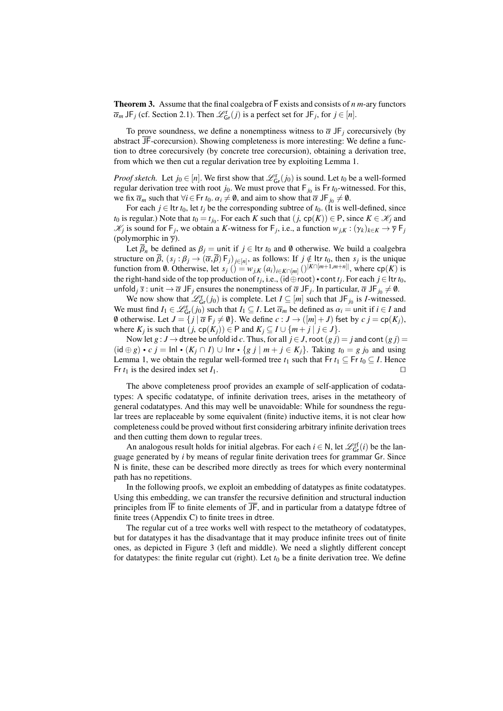**Theorem 3.** Assume that the final coalgebra of  $\overline{F}$  exists and consists of *n m*-ary functors  $\overline{\alpha}_m$  JF<sub>*j*</sub> (cf. Section [2.1\)](#page-2-1). Then  $\mathcal{L}_{Gr}^r(j)$  is a perfect set for JF<sub>*j*</sub>, for  $j \in [n]$ .

To prove soundness, we define a nonemptiness witness to  $\bar{\alpha}$  JF<sub>j</sub> corecursively (by abstract JF-corecursion). Showing completeness is more interesting: We define a function to dtree corecursively (by concrete tree corecursion), obtaining a derivation tree, from which we then cut a regular derivation tree by exploiting Lemma [1.](#page-7-0)

*Proof sketch.* Let  $j_0 \in [n]$ . We first show that  $\mathcal{L}_{Gr}^r(j_0)$  is sound. Let  $t_0$  be a well-formed regular derivation tree with root  $j_0$ . We must prove that  $F_{j_0}$  is  $Fr t_0$ -witnessed. For this, we fix  $\overline{\alpha}_m$  such that  $\forall i \in \text{Fr } t_0$ .  $\alpha_i \neq \emptyset$ , and aim to show that  $\overline{\alpha} \cup \overline{F}_{j_0} \neq \emptyset$ .<br>For each  $i \in \text{Irr } t_0$  let t be the corresponding subtree of to (It is we

For each  $j \in \text{Itr } t_0$ , let  $t_j$  be the corresponding subtree of  $t_0$ . (It is well-defined, since *t*<sub>0</sub> is regular.) Note that  $t_0 = t_{j_0}$ . For each *K* such that  $(j, \text{cp}(K)) \in \text{P}$ , since  $K \in \mathcal{K}_j$  and  $\mathcal{K}_j$  is sound for  $\text{F}$  is we obtain a *K*-witness for  $\text{F}$  i. i.e., a function  $w_i : (\alpha_i)_{i \in \mathcal{K}} \to \$  $\mathcal{K}_j$  is sound for F<sub>*j*</sub>, we obtain a *K*-witness for F<sub>*j*</sub>, i.e., a function  $w_{j,K} : (\gamma_k)_{k \in K} \to \overline{\gamma}$  F<sub>*j*</sub> (polymorphic in  $\overline{\gamma}$ ) (polymorphic in  $\bar{y}$ ).

Let  $\overline{\beta}_n$  be defined as  $\beta_j =$  unit if  $j \in$  ltr  $t_0$  and  $\emptyset$  otherwise. We build a coalgebra structure on  $\overline{\beta}$ ,  $(s_j : \beta_j \to (\overline{\alpha}, \overline{\beta}) \ F_j)_{j \in [n]}$ , as follows: If  $j \notin$  ltr  $t_0$ , then  $s_j$  is the unique function from  $\emptyset$ . Otherwise, let  $s_1() = w_{j,k}(\alpha_j)$ ,  $w_{j,k}(\alpha_j)$ ,  $w_{j,k}(\alpha_j)$  where  $c_p(K)$  is function from 0. Otherwise, let  $s_j$  () =  $w_{j,K}$   $(a_i)_{i \in K \cap [m]}$  ()<sup>| $K \cap [m+1,m+n]$ </sup>, where  $cp(K)$  is the right-hand side of the top production of *t<sub>j</sub>*, i.e., (id⊕root) • cont *t<sub>j</sub>*. For each *j* ∈ Itr *t*<sub>0</sub>, unfold<sub>*j*</sub>  $\bar{s}$ : unit  $\rightarrow \bar{\alpha}$  JF<sub>*j*</sub> ensures the nonemptiness of  $\bar{\alpha}$  JF<sub>*j*</sub>. In particular,  $\bar{\alpha}$  JF<sub>*j*0</sub>  $\neq$  0.<br>We now show that  $\mathcal{L}^r$  (*i*<sub>0</sub>) is complete Let  $I \subseteq [m]$  such that IF is Lwitnesse

We now show that  $\mathcal{L}_{Gr}^{r}(j_0)$  is complete. Let  $I \subseteq [m]$  such that  $JF_{j_0}$  is *I*-witnessed. We must find  $I_1 \in \mathcal{L}_{Gr}^r(j_0)$  such that  $I_1 \subseteq I$ . Let  $\overline{\alpha}_m$  be defined as  $\alpha_i = \text{unit if } i \in I$  and  $\emptyset$  otherwise  $I = I \cup I$  if  $\overline{\alpha} \in I \rightarrow \emptyset$ . We define  $c: I \rightarrow (\lfloor m \rfloor + I)$  foat by  $c: I = \text{cn}(K)$ .  $\emptyset$  otherwise. Let  $J = \{ j | \overline{\alpha} F_j \neq \emptyset \}$ . We define  $c : J \rightarrow ([m] + J)$  fset by  $c j = \text{cp}(K_j)$ , where  $K_j$  is such that  $(j, cp(K_j)) \in P$  and  $K_j \subseteq I \cup \{m+j \mid j \in J\}$ .<br>Now let  $a: I \to \text{drree}$  be unfold id c. Thus, for all  $i \in I$ , root  $(a, i)$ .

Now let  $g : J \to$  dtree be unfold id *c*. Thus, for all  $j \in J$ , root  $(g j) = j$  and cont  $(g j) =$  $(id \oplus g) \cdot c \; j = \text{Inl} \cdot (K_i \cap I) \cup \text{Inr} \cdot {g j \mid m + j \in K_j}.$  Taking  $t_0 = g j_0$  and using Lemma [1,](#page-7-0) we obtain the regular well-formed tree  $t_1$  such that Fr  $t_1 \subseteq Fr t_0 \subseteq I$ . Hence Fr  $t_1$  is the desired index set  $I_1$ .

The above completeness proof provides an example of self-application of codatatypes: A specific codatatype, of infinite derivation trees, arises in the metatheory of general codatatypes. And this may well be unavoidable: While for soundness the regular trees are replaceable by some equivalent (finite) inductive items, it is not clear how completeness could be proved without first considering arbitrary infinite derivation trees and then cutting them down to regular trees.

An analogous result holds for initial algebras. For each  $i \in N$ , let  $\mathcal{L}^{\text{rf}}_{\text{Gr}}(i)$  be the language generated by *i* by means of regular finite derivation trees for grammar Gr. Since N is finite, these can be described more directly as trees for which every nonterminal path has no repetitions.

In the following proofs, we exploit an embedding of datatypes as finite codatatypes. Using this embedding, we can transfer the recursive definition and structural induction principles from  $\overline{IF}$  to finite elements of  $\overline{JF}$ , and in particular from a datatype fdtree of finite trees (Appendix [C\)](#page-23-0) to finite trees in dtree.

The regular cut of a tree works well with respect to the metatheory of codatatypes, but for datatypes it has the disadvantage that it may produce infinite trees out of finite ones, as depicted in Figure [3](#page-13-0) (left and middle). We need a slightly different concept for datatypes: the finite regular cut (right). Let  $t_0$  be a finite derivation tree. We define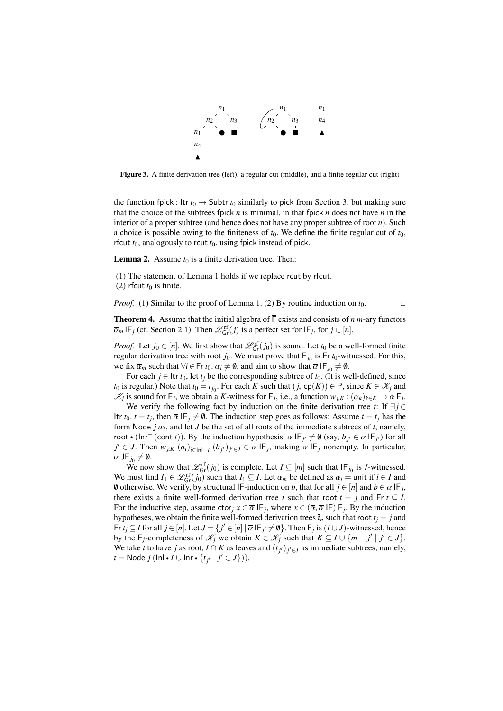

<span id="page-13-0"></span>Figure 3. A finite derivation tree (left), a regular cut (middle), and a finite regular cut (right)

the function fpick : Itr  $t_0 \rightarrow$  Subtr  $t_0$  similarly to pick from Section [3,](#page-5-0) but making sure that the choice of the subtrees fpick *n* is minimal, in that fpick *n* does not have *n* in the interior of a proper subtree (and hence does not have any proper subtree of root *n*). Such a choice is possible owing to the finiteness of  $t_0$ . We define the finite regular cut of  $t_0$ , rfcut *t*0, analogously to rcut *t*0, using fpick instead of pick.

<span id="page-13-1"></span>**Lemma 2.** Assume  $t_0$  is a finite derivation tree. Then:

(1) The statement of Lemma [1](#page-7-0) holds if we replace rcut by rfcut.

(2) rfcut  $t_0$  is finite.

*Proof.* (1) Similar to the proof of Lemma [1.](#page-7-0) (2) By routine induction on  $t_0$ .

<span id="page-13-2"></span>**Theorem 4.** Assume that the initial algebra of  $\overline{F}$  exists and consists of *n m*-ary functors  $\overline{\alpha}_m$  IF<sub>*j*</sub> (cf. Section [2.1\)](#page-2-1). Then  $\mathcal{L}_{Gr}^{rf}(j)$  is a perfect set for IF<sub>*j*</sub>, for  $j \in [n]$ .

*Proof.* Let  $j_0 \in [n]$ . We first show that  $\mathcal{L}_{Gr}^{rf}(j_0)$  is sound. Let  $t_0$  be a well-formed finite regular derivation tree with root  $j_0$ . We must prove that  $F_{j_0}$  is  $Fr t_0$ -witnessed. For this, we fix  $\overline{\alpha}_m$  such that  $\forall i \in \text{Fr } t_0$ .  $\alpha_i \neq \emptyset$ , and aim to show that  $\overline{\alpha} \mathsf{IF }_{j_0} \neq \emptyset$ .<br>For each  $i \in \text{ Irr } t_0$  let t be the corresponding subtree of  $t_0$ . (It is w

For each  $j \in \text{Itr } t_0$ , let  $t_j$  be the corresponding subtree of  $t_0$ . (It is well-defined, since *t*<sub>0</sub> is regular.) Note that  $t_0 = t_{j_0}$ . For each *K* such that  $(j, \text{cp}(K)) \in \text{P}$ , since  $K \in \mathcal{K}_j$  and  $\mathcal{K}_j$  is sound for  $\text{F}$ , we obtain a *K*-witness for  $\text{F}$ , i.e., a function  $w_i \times (x_i)_{i \in \mathcal{K}} \to \overline{\$  $\mathcal{K}_j$  is sound for F<sub>*j*</sub>, we obtain a *K*-witness for F<sub>*j*</sub></sub>, i.e., a function  $w_{j,K}$ :  $(\alpha_k)_{k \in K} \to \overline{\alpha}$  F<sub>*j*</sub>.<br>We verify the following fact by induction on the finite derivation tree *t*; If  $\exists i \in$ 

We verify the following fact by induction on the finite derivation tree *t*: If  $\exists j \in$ Itr  $t_0$ ,  $t = t_j$ , then  $\overline{\alpha}$  IF<sub>*j*</sub>  $\neq$  0. The induction step goes as follows: Assume  $t = t_j$  has the form Node *i as* and let *I* he the set of all roots of the immediate subtrees of *t* namely form Node *j as*, and let *J* be the set of all roots of the immediate subtrees of *t*, namely, root • (Inr<sup>−</sup> (cont *t*)). By the induction hypothesis,  $\overline{\alpha}$  IF<sub>*j'*</sub>  $\neq$  0 (say, *b<sub>j</sub>'*  $\in$   $\overline{\alpha}$  IF<sub>*j'*</sub>) for all *i'*  $\in$  *I*. Then  $w \cdot \overline{w}$  (*a*),  $\ldots$  (*b<sub>j'</sub>*)  $\ldots$   $\in \overline{\alpha}$  IF  $\ldots$  making  $\overline$ *j*<sup> $'$ </sup> ∈ *J*. Then  $w_{j,K}$   $(a_i)_{i \in In^{[-t]}}$   $(b_{j'})_{j' \in J}$  ∈  $\overline{\alpha}$  IF<sub>*j*</sub>, making  $\overline{\alpha}$  IF<sub>*j*</sub> nonempty. In particular,  $\overline{\alpha}$  IF  $\therefore$   $\neq$  0  $\overline{\alpha}$  JF<sub>*j*0</sub>  $\neq$  0.<br>We now

We now show that  $\mathcal{L}_{Gr}^{rf}(j_0)$  is complete. Let  $I \subseteq [m]$  such that  $IF_{j_0}$  is *I*-witnessed. We must find  $I_1 \in \mathcal{L}_{\text{Gr}}^{\text{rf}}(j_0)$  such that  $I_1 \subseteq I$ . Let  $\overline{\alpha}_m$  be defined as  $\alpha_i =$  unit if  $i \in I$  and  $h \in \overline{\alpha}$  [F] and  $h \in \overline{\alpha}$  [F]  $\emptyset$  otherwise. We verify, by structural IF-induction on *b*, that for all *j* ∈ [*n*] and *b* ∈  $\overline{\alpha}$  IF<sub>*j*</sub>, there exists a finite well-formed derivation tree *t* such that root *t* = *i* and Fr *t* ⊆ *I* there exists a finite well-formed derivation tree *t* such that root  $t = j$  and  $Fr t \subseteq I$ . For the inductive step, assume ctor<sub>*j*</sub>  $x \in \overline{\alpha}$  IF<sub>*j*</sub>, where  $x \in (\overline{\alpha}, \overline{\alpha}$  IF) F<sub>*j*</sub>. By the induction hypotheses, we obtain the finite well-formed derivation trees  $\overline{t}$ , such that root  $t = i$  and hypotheses, we obtain the finite well-formed derivation trees  $\bar{t}_n$  such that root  $t_i = j$  and Fr  $t_j \subseteq I$  for all  $j \in [n]$ . Let  $J = \{j' \in [n] \mid \overline{\alpha} \mid F_{j'} \neq \emptyset\}$ . Then  $F_j$  is  $(I \cup J)$ -witnessed, hence by the F-completeness of  $\mathcal{X}$  we obtain  $K \subseteq \mathcal{X}$  such that  $K \subseteq I \cup \{m + j' \mid j' \in I\}$ by the F<sub>j</sub>-completeness of  $\mathcal{K}_j$  we obtain  $K \in \mathcal{K}_j$  such that  $K \subseteq I \cup \{m+j' \mid j' \in J\}$ . We take *t* to have *j* as root,  $I \cap K$  as leaves and  $(t_j)_{j' \in J}$  as immediate subtrees; namely, *t* = Node *j* (InI • *I* ∪ Inr •  $\{t_{j'} | j' \in J\}$ )).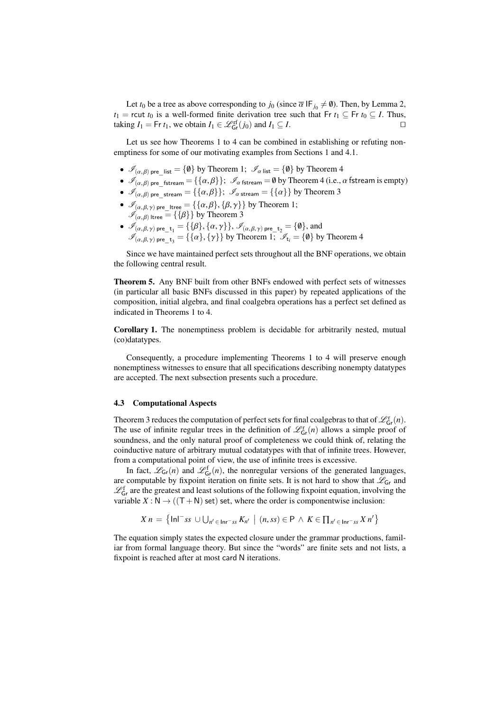Let *t*<sub>0</sub> be a tree as above corresponding to *j*<sub>0</sub> (since  $\overline{\alpha}$  IF<sub>*j*0</sub>  $\neq$  0). Then, by Lemma [2,](#page-13-1)  $\overline{\alpha}$  rcut *t*<sub>0</sub> is a well-formed finite derivation tree such that Fr *t*<sub>1</sub>  $\subset$  Fr *t*<sub>0</sub>  $\subset$  *I*. Thus *t*<sub>1</sub> = rcut *t*<sub>0</sub> is a well-formed finite derivation tree such that Fr *t*<sub>1</sub>  $\subseteq$  Fr *t*<sub>0</sub>  $\subseteq$  *I*. Thus, taking  $I_1 = \text{Fr } t_1$ , we obtain  $I_1 \in \mathcal{L}_{\text{Gr}}^{\text{rf}}(j_0)$  and  $I_1 \subseteq I$ .

Let us see how Theorems [1](#page-10-1) to [4](#page-13-2) can be combined in establishing or refuting nonemptiness for some of our motivating examples from Sections [1](#page-0-0) and [4.1.](#page-9-0)

- $\mathcal{I}_{(\alpha,\beta) \text{ pre}-\text{list}} = \{\emptyset\}$  by Theorem [1;](#page-10-1)  $\mathcal{I}_{\alpha \text{ list}} = \{\emptyset\}$  by Theorem [4](#page-13-2)
- $\mathscr{I}_{(\alpha,\beta)}$  pre fstream  $= \{ \{\alpha,\beta\} \}$ ;  $\mathscr{I}_{\alpha \text{ fstream}} = \emptyset$  by Theorem [4](#page-13-2) (i.e.,  $\alpha$  fstream is empty)
- $\mathscr{I}_{(\alpha,\beta) \text{ pre-stream}} = {\{\{\alpha,\beta\}\}; \ \mathscr{I}_{\alpha \text{ stream}} = {\{\{\alpha\}\}\text{ by Theorem 3}}$  $\mathscr{I}_{(\alpha,\beta) \text{ pre-stream}} = {\{\{\alpha,\beta\}\}; \ \mathscr{I}_{\alpha \text{ stream}} = {\{\{\alpha\}\}\text{ by Theorem 3}}$  $\mathscr{I}_{(\alpha,\beta) \text{ pre-stream}} = {\{\{\alpha,\beta\}\}; \ \mathscr{I}_{\alpha \text{ stream}} = {\{\{\alpha\}\}\text{ by Theorem 3}}$
- $\mathscr{I}_{(\alpha,\beta,\gamma)}$  pre\_ltree  $= \{ \{\alpha,\beta\}, \{\beta,\gamma\} \}$  by Theorem [1;](#page-10-1)  $\mathscr{I}_{(\alpha,\beta) \text{ three}} = {\{\beta\}}$  by Theorem [3](#page-11-1)
- $\mathcal{I}_{(\alpha,\beta,\gamma)}$  pre<sub>\_t<sub>1</sub></sub> = {{ $\beta$ }, { $\alpha$ ,  $\gamma$ }},  $\mathcal{I}_{(\alpha,\beta,\gamma)}$  pre<sub>\_t<sub>2</sub></sub> = { $\emptyset$ }, and<br> $\mathcal{I}_{(\alpha,\beta,\gamma)}$  pre\_t<sub>1</sub> = { $\alpha$ }, [ $\alpha$ } [ $\alpha$ } [ $\alpha$ } [ $\alpha$ ] by Theorem 1;  $\mathcal{I}_{(\alpha,\beta,\gamma)}$  [ $\alpha$ ] [ $\alpha$ ]  $\mathscr{I}_{(\alpha,\beta,\gamma) \text{ pre}\_\text{t}_3} = \{\{\alpha\},\{\gamma\}\}\$  by Theorem [1;](#page-10-1)  $\mathscr{I}_{\text{t}_i} = \{\emptyset\}$  by Theorem [4](#page-13-2)

Since we have maintained perfect sets throughout all the BNF operations, we obtain the following central result.

Theorem 5. Any BNF built from other BNFs endowed with perfect sets of witnesses (in particular all basic BNFs discussed in this paper) by repeated applications of the composition, initial algebra, and final coalgebra operations has a perfect set defined as indicated in Theorems [1](#page-10-1) to [4.](#page-13-2)

Corollary 1. The nonemptiness problem is decidable for arbitrarily nested, mutual (co)datatypes.

Consequently, a procedure implementing Theorems [1](#page-10-1) to [4](#page-13-2) will preserve enough nonemptiness witnesses to ensure that all specifications describing nonempty datatypes are accepted. The next subsection presents such a procedure.

#### 4.3 Computational Aspects

Theorem [3](#page-11-1) reduces the computation of perfect sets for final coalgebras to that of  $\mathcal{L}_{Gr}^{r}(n)$ . The use of infinite regular trees in the definition of  $\mathcal{L}_{Gr}^{r}(n)$  allows a simple proof of soundness, and the only natural proof of completeness we could think of, relating the coinductive nature of arbitrary mutual codatatypes with that of infinite trees. However, from a computational point of view, the use of infinite trees is excessive.

In fact,  $\mathcal{L}_{Gr}(n)$  and  $\mathcal{L}_{Gr}^{f}(n)$ , the nonregular versions of the generated languages, are computable by fixpoint iteration on finite sets. It is not hard to show that  $\mathscr{L}_{Gr}$  and  $\mathcal{L}_{\mathsf{Gr}}^{\mathrm{f}}$  are the greatest and least solutions of the following fixpoint equation, involving the variable  $X : N \to ((T+N) \text{ set})$  set, where the order is componentwise inclusion:

$$
X n = \{ \ln \mid s \cup \bigcup_{n' \in \ln r - ss} K_{n'} \mid (n, ss) \in P \land K \in \prod_{n' \in \ln r - ss} X n' \}
$$

The equation simply states the expected closure under the grammar productions, familiar from formal language theory. But since the "words" are finite sets and not lists, a fixpoint is reached after at most card N iterations.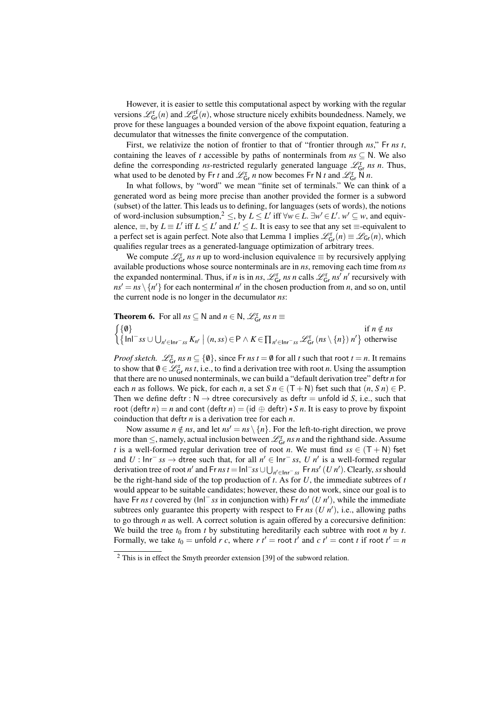However, it is easier to settle this computational aspect by working with the regular versions  $\mathcal{L}_{Gr}^{r}(n)$  and  $\mathcal{L}_{Gr}^{rf}(n)$ , whose structure nicely exhibits boundedness. Namely, we prove for these languages a bounded version of the above fixpoint equation, featuring a decumulator that witnesses the finite convergence of the computation.

First, we relativize the notion of frontier to that of "frontier through *ns*," Fr *ns t*, containing the leaves of *t* accessible by paths of nonterminals from  $n_s \,\subset N$ . We also define the corresponding *ns*-restricted regularly generated language  $\mathcal{L}_{Gr}^r$  *ns n*. Thus, what used to be denoted by Fr *t* and  $\mathcal{L}_{Gr}^r$  *n* now becomes Fr N *t* and  $\mathcal{L}_{Gr}^r$  N *n*.

In what follows, by "word" we mean "finite set of terminals." We can think of a generated word as being more precise than another provided the former is a subword (subset) of the latter. This leads us to defining, for languages (sets of words), the notions of word-inclusion subsumption,<sup>[2](#page-15-0)</sup> ≤, by *L* ≤ *L'* iff ∀*w* ∈ *L*. ∃*w*' ∈ *L'*. *w*' ⊆ *w*, and equiv-<br>alence = by *L* = *L'* iff *L* ≤ *L'* and *L'* ≤ *L* It is easy to see that any set =-equivalent to alence,  $\equiv$ , by  $L \equiv L'$  iff  $L \leq L'$  and  $L' \leq L$ . It is easy to see that any set  $\equiv$ -equivalent to a perfect set is again perfect. Note also that Lemma [1](#page-7-0) implies  $\mathcal{L}_{Gr}^{r}(n) \equiv \mathcal{L}_{Gr}(n)$ , which qualifies regular trees as a generated-language optimization of arbitrary trees.

We compute  $\mathcal{L}_{\text{Gr}}^r$  *ns n* up to word-inclusion equivalence  $\equiv$  by recursively applying available productions whose source nonterminals are in *ns*, removing each time from *ns* the expanded nonterminal. Thus, if *n* is in *ns*,  $\mathcal{L}_{Gr}^r$  *ns n* calls  $\mathcal{L}_{Gr}^r$  *ns' n'* recursively with  $ns' = ns \setminus \{n'\}$  for each nonterminal *n'* in the chosen production from *n*, and so on, until the current node is no longer in the decumulator *ns*:

<span id="page-15-1"></span>**Theorem 6.** For all  $ns \subseteq N$  and  $n \in N$ ,  $\mathcal{L}_{Gr}^r$  *ns*  $n \equiv$  $\left\{ \{ \ln \left[ \int_{n}^{n} f(x) dx \right] \mid (n, s s) \in P \land K \in \prod_{n' \in \ln r^{-} s s} \mathcal{L}_{\text{Gr}}^{r} (ns \setminus \{n\}) n' \right\} \text{ otherwise}$  otherwise

*Proof sketch.*  $\mathcal{L}_{Gr}^r$  *ns*  $n \subseteq \{0\}$ , since Fr *ns*  $t = 0$  for all *t* such that root  $t = n$ . It remains to show that  $\emptyset \in \mathcal{L}_{Gr}^r$  *ns t*, i.e., to find a derivation tree with root *n*. Using the assumption that there are no unused nonterminals, we can build a "default derivation tree" deftr *n* for each *n* as follows. We pick, for each *n*, a set  $S n \in (T + N)$  fset such that  $(n, S n) \in P$ . Then we define deftr :  $N \rightarrow$  dtree corecursively as deftr = unfold id *S*, i.e., such that root (deftr *n*) = *n* and cont (deftr *n*) = (id  $\oplus$  deftr) • *S n*. It is easy to prove by fixpoint coinduction that deftr *n* is a derivation tree for each *n*.

Now assume  $n \notin ns$ , and let  $ns' = ns \setminus \{n\}$ . For the left-to-right direction, we prove more than  $\leq$ , namely, actual inclusion between  $\mathcal{L}_{Gr}^r$  *ns n* and the righthand side. Assume *t* is a well-formed regular derivation tree of root *n*. We must find  $ss \in (T + N)$  fset and *U* :  $\text{Inr}^-$  *ss*  $\rightarrow$  dtree such that, for all  $n' \in \text{Inr}^-$  *ss*, *U*  $n'$  is a well-formed regular derivation tree of root *n'* and Fr *ns t* =  $\ln|\cos \theta| \cup \int_{n' \in \ln r - ss}$  Fr *ns'* (*U n'*). Clearly, *ss* should be the right-hand side of the top production of  $t$ . As for  $U$ , the immediate subtrees of  $t$ would appear to be suitable candidates; however, these do not work, since our goal is to have Fr *ns t* covered by  $(\ln|\sigma s)$  in conjunction with) Fr *ns'*  $(U n')$ , while the immediate subtrees only guarantee this property with respect to Fr  $ns(Un')$ , i.e., allowing paths to go through *n* as well. A correct solution is again offered by a corecursive definition: We build the tree  $t_0$  from  $t$  by substituting hereditarily each subtree with root  $n$  by  $t$ . Formally, we take  $t_0 =$  unfold  $r c$ , where  $r t' =$  root  $t'$  and  $c t' =$  cont  $t$  if root  $t' = n$ 

<span id="page-15-0"></span><sup>2</sup> This is in effect the Smyth preorder extension [\[39\]](#page-21-7) of the subword relation.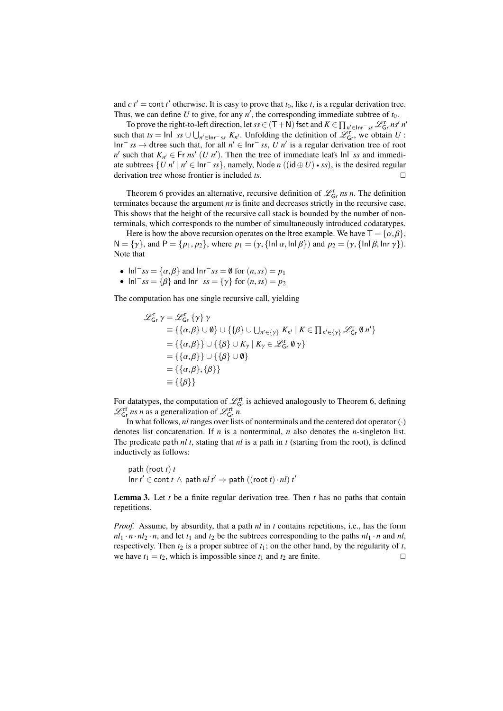and  $c t' = \text{cont } t'$  otherwise. It is easy to prove that  $t_0$ , like  $t$ , is a regular derivation tree. Thus, we can define U to give, for any  $n'$ , the corresponding immediate subtree of  $t_0$ .

To prove the right-to-left direction, let  $ss \in (T + N)$  fset and  $K \in \prod_{n' \in \text{Inr}^{-}ss} \mathcal{L}_{Gr}^{r}$  *ns' n'* such that  $ts = \ln|\cos \theta| \cup \int_{n' \in \ln r - ss} K_{n'}$ . Unfolding the definition of  $\mathcal{L}_{Gr}^r$ , we obtain *U* :  $Inr^-$  *ss* → dtree such that, for all  $n' \in Inr^-$  *ss*, *U n'* is a regular derivation tree of root *n*<sup> $'$ </sup> such that  $K_{n'}$  ∈ Fr *ns*<sup> $'$ </sup> (*U n'*). Then the tree of immediate leafs lnl<sup>−</sup>*ss* and immediate subtrees  $\{U n' \mid n' \in \text{Inr}^-\text{ss}\}$ , namely, Node *n* ((id  $\oplus U$ ) • *ss*), is the desired regular derivation tree whose frontier is included *ts*.  $\Box$ 

Theorem [6](#page-15-1) provides an alternative, recursive definition of  $\mathcal{L}_{\mathsf{Gr}}^r$  *ns n*. The definition terminates because the argument *ns* is finite and decreases strictly in the recursive case. This shows that the height of the recursive call stack is bounded by the number of nonterminals, which corresponds to the number of simultaneously introduced codatatypes.

Here is how the above recursion operates on the ltree example. We have  $T = \{\alpha, \beta\},\$  $N = {\gamma}$ , and  $P = {p_1, p_2}$ , where  $p_1 = (\gamma, {\{\text{lnl } \alpha, \text{lnl } \beta\}})$  and  $p_2 = (\gamma, {\{\text{lnl } \beta, \text{lnr } \gamma\}})$ . Note that

•  $\ln^{-}s s = \{\alpha, \beta\}$  and  $\ln^{-}s s = \emptyset$  for  $(n, s s) = p_1$ <br>•  $\ln^{-}s s = \{\beta\}$  and  $\ln^{-}s s = \{\alpha\}$  for  $(n, s s) = n_2$ •  $\ln \left[-\text{ss} = \{\beta\}\right]$  and  $\ln \left[-\text{ss} = \{\gamma\}\right]$  for  $(n, s s) = p_2$ 

The computation has one single recursive call, yielding

$$
\mathcal{L}_{Gr}^{r} \gamma = \mathcal{L}_{Gr}^{r} \{ \gamma \} \gamma
$$
\n
$$
\equiv \{ \{\alpha, \beta\} \cup \emptyset \} \cup \{ \{\beta\} \cup \bigcup_{n' \in \{\gamma\}} K_{n'} \mid K \in \prod_{n' \in \{\gamma\}} \mathcal{L}_{Gr}^{r} \emptyset n' \}
$$
\n
$$
= \{ \{\alpha, \beta\} \} \cup \{ \{\beta\} \cup K_{\gamma} \mid K_{\gamma} \in \mathcal{L}_{Gr}^{r} \emptyset \gamma \}
$$
\n
$$
= \{ \{\alpha, \beta\} \} \cup \{ \{\beta\} \cup \emptyset \}
$$
\n
$$
= \{ \{\alpha, \beta\}, \{\beta\} \}
$$
\n
$$
\equiv \{ \{\beta\} \}
$$

For datatypes, the computation of  $\mathcal{L}_{Gr}^{rf}$  is achieved analogously to Theorem [6,](#page-15-1) defining  $\mathscr{L}_{\mathsf{Gr}}^{\text{rf}}$  *ns n* as a generalization of  $\mathscr{L}_{\mathsf{Gr}}^{\text{rf}}$  *n*.

In what follows,  $nl$  ranges over lists of nonterminals and the centered dot operator  $(\cdot)$ denotes list concatenation. If *n* is a nonterminal, *n* also denotes the *n*-singleton list. The predicate path *nl t*, stating that *nl* is a path in *t* (starting from the root), is defined inductively as follows:

path (root *t*) *t*  $\text{Im } t' \in \text{cont } t \land \text{ path } nl \ t' \Rightarrow \text{ path } ((\text{root } t) \cdot nl) \ t'$ 

<span id="page-16-0"></span>**Lemma 3.** Let *t* be a finite regular derivation tree. Then *t* has no paths that contain repetitions.

<span id="page-16-1"></span>*Proof.* Assume, by absurdity, that a path *nl* in *t* contains repetitions, i.e., has the form  $nl_1 \cdot n \cdot nl_2 \cdot n$ , and let  $t_1$  and  $t_2$  be the subtrees corresponding to the paths  $nl_1 \cdot n$  and  $nl$ , respectively. Then  $t_2$  is a proper subtree of  $t_1$ ; on the other hand, by the regularity of  $t$ , we have  $t_1 = t_2$ , which is impossible since  $t_1$  and  $t_2$  are finite.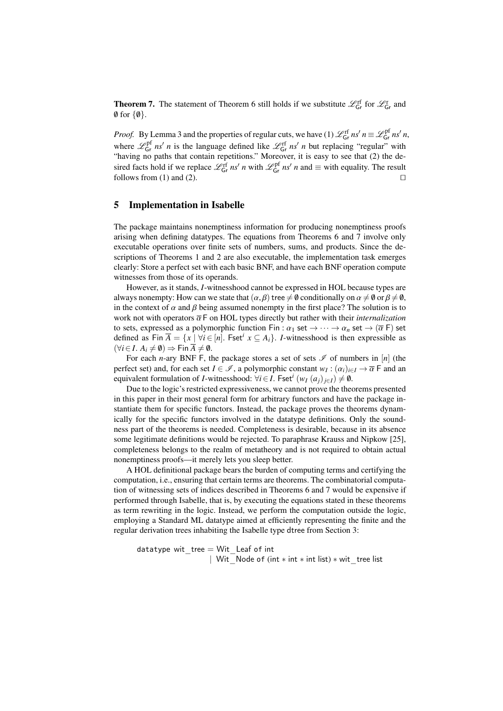**Theorem 7.** The statement of Theorem [6](#page-15-1) still holds if we substitute  $\mathcal{L}_{Gr}^{rf}$  for  $\mathcal{L}_{Gr}^{r}$  and  $\emptyset$  for  $\{\emptyset\}.$ 

*Proof.* By Lemma [3](#page-16-0) and the properties of regular cuts, we have (1)  $\mathcal{L}_{Gr}^{rf}$  *ns' n* =  $\mathcal{L}_{Gr}^{pf}$  *ns' n*, where  $\mathcal{L}_{Gr}^{pf}$  *ns' n* is the language defined like  $\mathcal{L}_{Gr}^{rf}$  *ns' n* but replacing "regular" with "having no paths that contain repetitions." Moreover, it is easy to see that (2) the desired facts hold if we replace  $\mathcal{L}_{Gr}^{rf}$  *ns' n* with  $\mathcal{L}_{Gr}^{pf}$  *ns' n* and  $\equiv$  with equality. The result follows from  $(1)$  and  $(2)$ .

## <span id="page-17-0"></span>5 Implementation in Isabelle

The package maintains nonemptiness information for producing nonemptiness proofs arising when defining datatypes. The equations from Theorems [6](#page-15-1) and [7](#page-16-1) involve only executable operations over finite sets of numbers, sums, and products. Since the descriptions of Theorems [1](#page-10-1) and [2](#page-11-0) are also executable, the implementation task emerges clearly: Store a perfect set with each basic BNF, and have each BNF operation compute witnesses from those of its operands.

However, as it stands, *I*-witnesshood cannot be expressed in HOL because types are always nonempty: How can we state that  $(\alpha, \beta)$  tree  $\neq \emptyset$  conditionally on  $\alpha \neq \emptyset$  or  $\beta \neq \emptyset$ , in the context of  $\alpha$  and  $\beta$  being assumed nonempty in the first place? The solution is to work not with operators  $\overline{\alpha}F$  on HOL types directly but rather with their *internalization* to sets, expressed as a polymorphic function Fin :  $\alpha_1$  set  $\rightarrow \cdots \rightarrow \alpha_n$  set  $\rightarrow (\overline{\alpha} \ F)$  set defined as Fin  $\overline{A} = \{x \mid \forall i \in [n]$ . Fset<sup>*i*</sup>  $x \subseteq A_i\}$ . *I*-witnesshood is then expressible as  $(\forall i \in I \ A \cdot \neq \emptyset)$  → Fin  $\overline{A} \neq \emptyset$  $(\forall i \in I. A_i \neq \emptyset) \Rightarrow$  Fin  $\overline{A} \neq \emptyset$ .

For each *n*-ary BNF F, the package stores a set of sets  $\mathscr I$  of numbers in [*n*] (the perfect set) and, for each set  $I \in \mathcal{I}$ , a polymorphic constant  $w_I : (\alpha_i)_{i \in I} \to \overline{\alpha}$  F and an equivalent formulation of L-witnesshood:  $\forall i \in I$ , Eset<sup>*i*</sup> (*wi*(*a*<sup>*i*</sup>)  $\leq t$ )  $\neq \emptyset$ equivalent formulation of *I*-witnesshood:  $\forall i \in I$ . Fset<sup>*i*</sup> ( $w_I(a_j)_{j \in I}$ )  $\neq \emptyset$ .<br>Due to the logic's restricted expressiveness, we cannot prove the the

Due to the logic's restricted expressiveness, we cannot prove the theorems presented in this paper in their most general form for arbitrary functors and have the package instantiate them for specific functors. Instead, the package proves the theorems dynamically for the specific functors involved in the datatype definitions. Only the soundness part of the theorems is needed. Completeness is desirable, because in its absence some legitimate definitions would be rejected. To paraphrase Krauss and Nipkow [\[25\]](#page-20-14), completeness belongs to the realm of metatheory and is not required to obtain actual nonemptiness proofs—it merely lets you sleep better.

A HOL definitional package bears the burden of computing terms and certifying the computation, i.e., ensuring that certain terms are theorems. The combinatorial computation of witnessing sets of indices described in Theorems [6](#page-15-1) and [7](#page-16-1) would be expensive if performed through Isabelle, that is, by executing the equations stated in these theorems as term rewriting in the logic. Instead, we perform the computation outside the logic, employing a Standard ML datatype aimed at efficiently representing the finite and the regular derivation trees inhabiting the Isabelle type dtree from Section [3:](#page-5-0)

datatype wit tree  $=$  Wit Leaf of int | Wit\_Node of (int ∗ int ∗ int list) ∗ wit\_tree list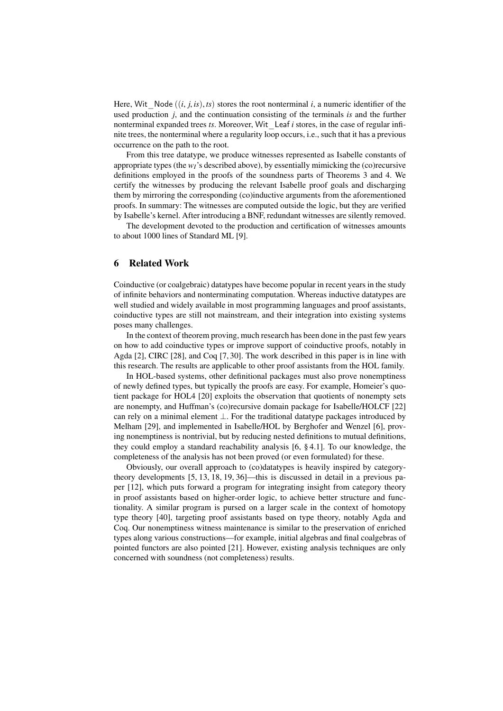Here, Wit\_Node  $((i, j, is), ts)$  stores the root nonterminal *i*, a numeric identifier of the used production *j*, and the continuation consisting of the terminals *is* and the further nonterminal expanded trees *ts*. Moreover, Wit Leaf *i* stores, in the case of regular infinite trees, the nonterminal where a regularity loop occurs, i.e., such that it has a previous occurrence on the path to the root.

From this tree datatype, we produce witnesses represented as Isabelle constants of appropriate types (the *wI*'s described above), by essentially mimicking the (co)recursive definitions employed in the proofs of the soundness parts of Theorems [3](#page-11-1) and [4.](#page-13-2) We certify the witnesses by producing the relevant Isabelle proof goals and discharging them by mirroring the corresponding (co)inductive arguments from the aforementioned proofs. In summary: The witnesses are computed outside the logic, but they are verified by Isabelle's kernel. After introducing a BNF, redundant witnesses are silently removed.

The development devoted to the production and certification of witnesses amounts to about 1000 lines of Standard ML [\[9\]](#page-20-7).

## 6 Related Work

Coinductive (or coalgebraic) datatypes have become popular in recent years in the study of infinite behaviors and nonterminating computation. Whereas inductive datatypes are well studied and widely available in most programming languages and proof assistants, coinductive types are still not mainstream, and their integration into existing systems poses many challenges.

In the context of theorem proving, much research has been done in the past few years on how to add coinductive types or improve support of coinductive proofs, notably in Agda [\[2\]](#page-19-4), CIRC [\[28\]](#page-21-8), and Coq [\[7,](#page-19-5) [30\]](#page-21-9). The work described in this paper is in line with this research. The results are applicable to other proof assistants from the HOL family.

In HOL-based systems, other definitional packages must also prove nonemptiness of newly defined types, but typically the proofs are easy. For example, Homeier's quotient package for HOL4 [\[20\]](#page-20-15) exploits the observation that quotients of nonempty sets are nonempty, and Huffman's (co)recursive domain package for Isabelle/HOLCF [\[22\]](#page-20-16) can rely on a minimal element  $\perp$ . For the traditional datatype packages introduced by Melham [\[29\]](#page-21-10), and implemented in Isabelle/HOL by Berghofer and Wenzel [\[6\]](#page-19-3), proving nonemptiness is nontrivial, but by reducing nested definitions to mutual definitions, they could employ a standard reachability analysis [\[6,](#page-19-3) § 4.1]. To our knowledge, the completeness of the analysis has not been proved (or even formulated) for these.

Obviously, our overall approach to (co)datatypes is heavily inspired by categorytheory developments [\[5,](#page-19-6) [13,](#page-20-17) [18,](#page-20-18) [19,](#page-20-19) [36\]](#page-21-11)—this is discussed in detail in a previous paper [\[12\]](#page-20-3), which puts forward a program for integrating insight from category theory in proof assistants based on higher-order logic, to achieve better structure and functionality. A similar program is pursed on a larger scale in the context of homotopy type theory [\[40\]](#page-21-12), targeting proof assistants based on type theory, notably Agda and Coq. Our nonemptiness witness maintenance is similar to the preservation of enriched types along various constructions—for example, initial algebras and final coalgebras of pointed functors are also pointed [\[21\]](#page-20-12). However, existing analysis techniques are only concerned with soundness (not completeness) results.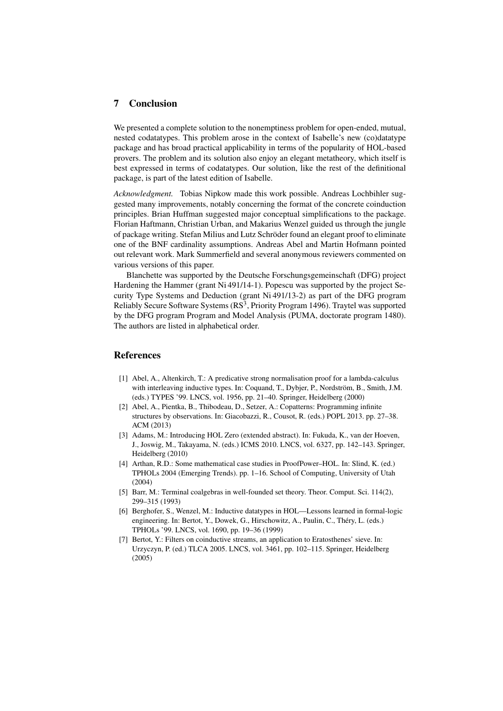## 7 Conclusion

We presented a complete solution to the nonemptiness problem for open-ended, mutual, nested codatatypes. This problem arose in the context of Isabelle's new (co)datatype package and has broad practical applicability in terms of the popularity of HOL-based provers. The problem and its solution also enjoy an elegant metatheory, which itself is best expressed in terms of codatatypes. Our solution, like the rest of the definitional package, is part of the latest edition of Isabelle.

*Acknowledgment.* Tobias Nipkow made this work possible. Andreas Lochbihler suggested many improvements, notably concerning the format of the concrete coinduction principles. Brian Huffman suggested major conceptual simplifications to the package. Florian Haftmann, Christian Urban, and Makarius Wenzel guided us through the jungle of package writing. Stefan Milius and Lutz Schröder found an elegant proof to eliminate one of the BNF cardinality assumptions. Andreas Abel and Martin Hofmann pointed out relevant work. Mark Summerfield and several anonymous reviewers commented on various versions of this paper.

Blanchette was supported by the Deutsche Forschungsgemeinschaft (DFG) project Hardening the Hammer (grant Ni 491/14-1). Popescu was supported by the project Security Type Systems and Deduction (grant Ni 491/13-2) as part of the DFG program Reliably Secure Software Systems ( $\text{RS}^3$ , Priority Program 1496). Traytel was supported by the DFG program Program and Model Analysis (PUMA, doctorate program 1480). The authors are listed in alphabetical order.

### References

- <span id="page-19-2"></span>[1] Abel, A., Altenkirch, T.: A predicative strong normalisation proof for a lambda-calculus with interleaving inductive types. In: Coquand, T., Dybjer, P., Nordström, B., Smith, J.M. (eds.) TYPES '99. LNCS, vol. 1956, pp. 21–40. Springer, Heidelberg (2000)
- <span id="page-19-4"></span>[2] Abel, A., Pientka, B., Thibodeau, D., Setzer, A.: Copatterns: Programming infinite structures by observations. In: Giacobazzi, R., Cousot, R. (eds.) POPL 2013. pp. 27–38. ACM (2013)
- <span id="page-19-0"></span>[3] Adams, M.: Introducing HOL Zero (extended abstract). In: Fukuda, K., van der Hoeven, J., Joswig, M., Takayama, N. (eds.) ICMS 2010. LNCS, vol. 6327, pp. 142–143. Springer, Heidelberg (2010)
- <span id="page-19-1"></span>[4] Arthan, R.D.: Some mathematical case studies in ProofPower–HOL. In: Slind, K. (ed.) TPHOLs 2004 (Emerging Trends). pp. 1–16. School of Computing, University of Utah (2004)
- <span id="page-19-6"></span>[5] Barr, M.: Terminal coalgebras in well-founded set theory. Theor. Comput. Sci. 114(2), 299–315 (1993)
- <span id="page-19-3"></span>[6] Berghofer, S., Wenzel, M.: Inductive datatypes in HOL—Lessons learned in formal-logic engineering. In: Bertot, Y., Dowek, G., Hirschowitz, A., Paulin, C., Théry, L. (eds.) TPHOLs '99. LNCS, vol. 1690, pp. 19–36 (1999)
- <span id="page-19-5"></span>[7] Bertot, Y.: Filters on coinductive streams, an application to Eratosthenes' sieve. In: Urzyczyn, P. (ed.) TLCA 2005. LNCS, vol. 3461, pp. 102–115. Springer, Heidelberg (2005)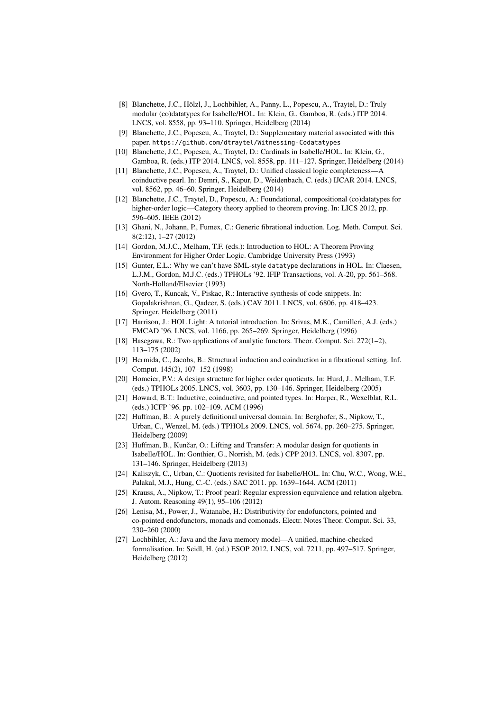- <span id="page-20-2"></span>[8] Blanchette, J.C., Hölzl, J., Lochbihler, A., Panny, L., Popescu, A., Traytel, D.: Truly modular (co)datatypes for Isabelle/HOL. In: Klein, G., Gamboa, R. (eds.) ITP 2014. LNCS, vol. 8558, pp. 93–110. Springer, Heidelberg (2014)
- <span id="page-20-7"></span>[9] Blanchette, J.C., Popescu, A., Traytel, D.: Supplementary material associated with this paper. <https://github.com/dtraytel/Witnessing-Codatatypes>
- <span id="page-20-10"></span>[10] Blanchette, J.C., Popescu, A., Traytel, D.: Cardinals in Isabelle/HOL. In: Klein, G., Gamboa, R. (eds.) ITP 2014. LNCS, vol. 8558, pp. 111–127. Springer, Heidelberg (2014)
- <span id="page-20-6"></span>[11] Blanchette, J.C., Popescu, A., Traytel, D.: Unified classical logic completeness—A coinductive pearl. In: Demri, S., Kapur, D., Weidenbach, C. (eds.) IJCAR 2014. LNCS, vol. 8562, pp. 46–60. Springer, Heidelberg (2014)
- <span id="page-20-3"></span>[12] Blanchette, J.C., Traytel, D., Popescu, A.: Foundational, compositional (co)datatypes for higher-order logic—Category theory applied to theorem proving. In: LICS 2012, pp. 596–605. IEEE (2012)
- <span id="page-20-17"></span>[13] Ghani, N., Johann, P., Fumex, C.: Generic fibrational induction. Log. Meth. Comput. Sci. 8(2:12), 1–27 (2012)
- <span id="page-20-5"></span>[14] Gordon, M.J.C., Melham, T.F. (eds.): Introduction to HOL: A Theorem Proving Environment for Higher Order Logic. Cambridge University Press (1993)
- <span id="page-20-11"></span>[15] Gunter, E.L.: Why we can't have SML-style datatype declarations in HOL. In: Claesen, L.J.M., Gordon, M.J.C. (eds.) TPHOLs '92. IFIP Transactions, vol. A-20, pp. 561–568. North-Holland/Elsevier (1993)
- <span id="page-20-4"></span>[16] Gvero, T., Kuncak, V., Piskac, R.: Interactive synthesis of code snippets. In: Gopalakrishnan, G., Qadeer, S. (eds.) CAV 2011. LNCS, vol. 6806, pp. 418–423. Springer, Heidelberg (2011)
- <span id="page-20-1"></span>[17] Harrison, J.: HOL Light: A tutorial introduction. In: Srivas, M.K., Camilleri, A.J. (eds.) FMCAD '96. LNCS, vol. 1166, pp. 265–269. Springer, Heidelberg (1996)
- <span id="page-20-18"></span>[18] Hasegawa, R.: Two applications of analytic functors. Theor. Comput. Sci. 272(1–2), 113–175 (2002)
- <span id="page-20-19"></span>[19] Hermida, C., Jacobs, B.: Structural induction and coinduction in a fibrational setting. Inf. Comput. 145(2), 107–152 (1998)
- <span id="page-20-15"></span>[20] Homeier, P.V.: A design structure for higher order quotients. In: Hurd, J., Melham, T.F. (eds.) TPHOLs 2005. LNCS, vol. 3603, pp. 130–146. Springer, Heidelberg (2005)
- <span id="page-20-12"></span>[21] Howard, B.T.: Inductive, coinductive, and pointed types. In: Harper, R., Wexelblat, R.L. (eds.) ICFP '96. pp. 102–109. ACM (1996)
- <span id="page-20-16"></span>[22] Huffman, B.: A purely definitional universal domain. In: Berghofer, S., Nipkow, T., Urban, C., Wenzel, M. (eds.) TPHOLs 2009. LNCS, vol. 5674, pp. 260–275. Springer, Heidelberg (2009)
- <span id="page-20-8"></span>[23] Huffman, B., Kunčar, O.: Lifting and Transfer: A modular design for quotients in Isabelle/HOL. In: Gonthier, G., Norrish, M. (eds.) CPP 2013. LNCS, vol. 8307, pp. 131–146. Springer, Heidelberg (2013)
- <span id="page-20-9"></span>[24] Kaliszyk, C., Urban, C.: Quotients revisited for Isabelle/HOL. In: Chu, W.C., Wong, W.E., Palakal, M.J., Hung, C.-C. (eds.) SAC 2011. pp. 1639–1644. ACM (2011)
- <span id="page-20-14"></span>[25] Krauss, A., Nipkow, T.: Proof pearl: Regular expression equivalence and relation algebra. J. Autom. Reasoning 49(1), 95–106 (2012)
- <span id="page-20-13"></span>[26] Lenisa, M., Power, J., Watanabe, H.: Distributivity for endofunctors, pointed and co-pointed endofunctors, monads and comonads. Electr. Notes Theor. Comput. Sci. 33, 230–260 (2000)
- <span id="page-20-0"></span>[27] Lochbihler, A.: Java and the Java memory model—A unified, machine-checked formalisation. In: Seidl, H. (ed.) ESOP 2012. LNCS, vol. 7211, pp. 497–517. Springer, Heidelberg (2012)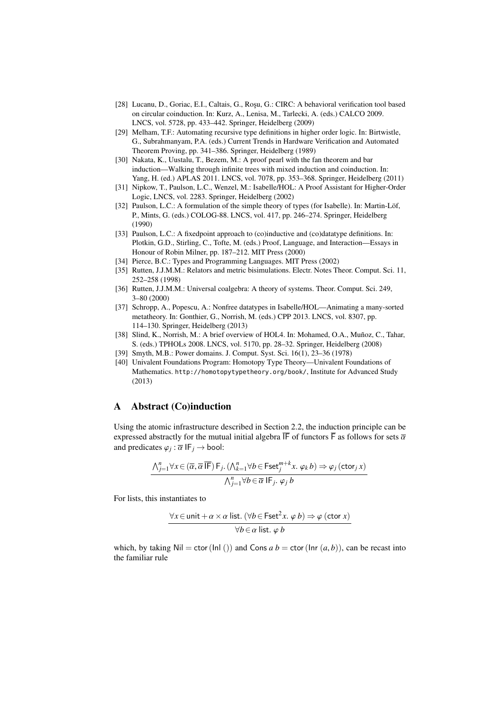- <span id="page-21-8"></span>[28] Lucanu, D., Goriac, E.I., Caltais, G., Roşu, G.: CIRC: A behavioral verification tool based on circular coinduction. In: Kurz, A., Lenisa, M., Tarlecki, A. (eds.) CALCO 2009. LNCS, vol. 5728, pp. 433–442. Springer, Heidelberg (2009)
- <span id="page-21-10"></span>[29] Melham, T.F.: Automating recursive type definitions in higher order logic. In: Birtwistle, G., Subrahmanyam, P.A. (eds.) Current Trends in Hardware Verification and Automated Theorem Proving, pp. 341–386. Springer, Heidelberg (1989)
- <span id="page-21-9"></span>[30] Nakata, K., Uustalu, T., Bezem, M.: A proof pearl with the fan theorem and bar induction—Walking through infinite trees with mixed induction and coinduction. In: Yang, H. (ed.) APLAS 2011. LNCS, vol. 7078, pp. 353–368. Springer, Heidelberg (2011)
- <span id="page-21-1"></span>[31] Nipkow, T., Paulson, L.C., Wenzel, M.: Isabelle/HOL: A Proof Assistant for Higher-Order Logic, LNCS, vol. 2283. Springer, Heidelberg (2002)
- <span id="page-21-2"></span>[32] Paulson, L.C.: A formulation of the simple theory of types (for Isabelle). In: Martin-Löf, P., Mints, G. (eds.) COLOG-88. LNCS, vol. 417, pp. 246–274. Springer, Heidelberg (1990)
- <span id="page-21-6"></span>[33] Paulson, L.C.: A fixedpoint approach to (co)inductive and (co)datatype definitions. In: Plotkin, G.D., Stirling, C., Tofte, M. (eds.) Proof, Language, and Interaction—Essays in Honour of Robin Milner, pp. 187–212. MIT Press (2000)
- <span id="page-21-5"></span>[34] Pierce, B.C.: Types and Programming Languages. MIT Press (2002)
- <span id="page-21-13"></span>[35] Rutten, J.J.M.M.: Relators and metric bisimulations. Electr. Notes Theor. Comput. Sci. 11, 252–258 (1998)
- <span id="page-21-11"></span>[36] Rutten, J.J.M.M.: Universal coalgebra: A theory of systems. Theor. Comput. Sci. 249, 3–80 (2000)
- <span id="page-21-4"></span>[37] Schropp, A., Popescu, A.: Nonfree datatypes in Isabelle/HOL—Animating a many-sorted metatheory. In: Gonthier, G., Norrish, M. (eds.) CPP 2013. LNCS, vol. 8307, pp. 114–130. Springer, Heidelberg (2013)
- <span id="page-21-0"></span>[38] Slind, K., Norrish, M.: A brief overview of HOL4. In: Mohamed, O.A., Muñoz, C., Tahar, S. (eds.) TPHOLs 2008. LNCS, vol. 5170, pp. 28–32. Springer, Heidelberg (2008)
- <span id="page-21-7"></span>[39] Smyth, M.B.: Power domains. J. Comput. Syst. Sci. 16(1), 23–36 (1978)
- <span id="page-21-12"></span>[40] Univalent Foundations Program: Homotopy Type Theory—Univalent Foundations of Mathematics. <http://homotopytypetheory.org/book/>, Institute for Advanced Study (2013)

## <span id="page-21-3"></span>A Abstract (Co)induction

Using the atomic infrastructure described in Section [2.2,](#page-4-1) the induction principle can be expressed abstractly for the mutual initial algebra IF of functors F as follows for sets  $\overline{\alpha}$ and predicates  $\varphi_j : \overline{\alpha} \rvert F_j \to \text{bool}$ :

$$
\frac{\bigwedge_{j=1}^{n} \forall x \in (\overline{\alpha}, \overline{\alpha} \overline{\mathsf{IF}}) \mathsf{F}_{j.} \left(\bigwedge_{k=1}^{n} \forall b \in \mathsf{Fset}^{m+k}_{j} x. \varphi_{k} b\right) \Rightarrow \varphi_{j} \left(\mathsf{ctor}_{j} x\right)}{\bigwedge_{j=1}^{n} \forall b \in \overline{\alpha} \mathsf{IF}_{j.} \varphi_{j} b}
$$

For lists, this instantiates to

$$
\forall x \in \text{unit} + \alpha \times \alpha \text{ list. } (\forall b \in \text{Fset}^2 x. \ \varphi \ b) \Rightarrow \varphi \ (\text{ctor } x)
$$

$$
\forall b \in \alpha \text{ list. } \varphi \ b
$$

which, by taking  $Nil = \text{ctor}(\text{Inl }())$  and Cons  $ab = \text{ctor}(\text{Inr } (a, b))$ , can be recast into the familiar rule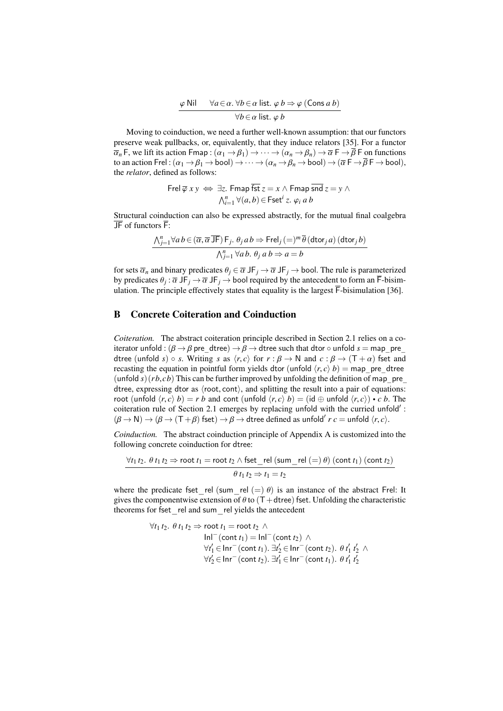$\varphi$  Nil  $\forall a \in \alpha$ . ∀*b*∈ $\alpha$  list.  $\varphi$ *b*  $\Rightarrow \varphi$  (Cons *a b*) <sup>∀</sup>*b*∈α list. ϕ *<sup>b</sup>*

Moving to coinduction, we need a further well-known assumption: that our functors preserve weak pullbacks, or, equivalently, that they induce relators [\[35\]](#page-21-13). For a functor  $\overline{\alpha}_n$  F, we lift its action Fmap :  $(\alpha_1 \to \beta_1) \to \cdots \to (\alpha_n \to \beta_n) \to \overline{\alpha}$  F  $\to \overline{\beta}$  F on functions to an action Frel :  $(\alpha_1 \rightarrow \beta_1 \rightarrow \text{bool}) \rightarrow \cdots \rightarrow (\alpha_n \rightarrow \beta_n \rightarrow \text{bool}) \rightarrow (\overline{\alpha} \cdot \overline{\beta} \cdot \overline{\beta} \cdot \overline{\beta} \rightarrow \text{bool})$ , the *relator*, defined as follows:

$$
\text{Frel } \overline{\varphi} \, x \, y \iff \exists z. \, \text{Fmap } \overline{\text{fst}} \, z = x \land \text{Fmap } \overline{\text{snd}} \, z = y \land
$$
\n
$$
\bigwedge_{i=1}^{n} \forall (a, b) \in \text{Fset}^{i} \, z. \, \varphi_i \, a \, b
$$

Structural coinduction can also be expressed abstractly, for the mutual final coalgebra  $\overline{JF}$  of functors  $\overline{F}$ :

$$
\frac{\bigwedge_{j=1}^{n} \forall a b \in (\overline{\alpha}, \overline{\alpha} \ \overline{\mathsf{J}F}) \ F_j. \ \theta_j \ a \ b \Rightarrow \ \mathsf{Frel}_j \left(= \right)^{m} \overline{\theta} \left( \mathsf{dtor}_j a \right) \left( \mathsf{dtor}_j b \right)}{\bigwedge_{j=1}^{n} \forall a b. \ \theta_j \ a \ b \Rightarrow a = b}
$$

for sets  $\overline{\alpha}_n$  and binary predicates  $\theta_j \in \overline{\alpha} \cup F_j \to \overline{\alpha} \cup F_j \to$  bool. The rule is parameterized by predicates  $\theta_j : \overline{\alpha} \cup F_j \to \overline{\alpha} \cup F_j \to$  bool required by the antecedent to form an F-bisim-<br>ulation. The principle effectively states that equality is the largest  $\overline{F}$ -bisimulation [36] ulation. The principle effectively states that equality is the largest  $\overline{F}$ -bisimulation [\[36\]](#page-21-11).

## <span id="page-22-0"></span>B Concrete Coiteration and Coinduction

*Coiteration.* The abstract coiteration principle described in Section [2.1](#page-2-1) relies on a coiterator unfold :  $(\beta \to \beta \text{ pre-dtree}) \to \beta \to \text{dtree}$  such that dtor  $\circ$  unfold  $s = \text{map\_pre}$ dtree (unfold *s*)  $\circ$  *s*. Writing *s* as  $\langle r, c \rangle$  for  $r : \beta \to \mathbb{N}$  and  $c : \beta \to (\mathbb{T} + \alpha)$  fset and recasting the equation in pointful form yields dtor (unfold  $\langle r, c \rangle$  *b*) = map\_pre\_dtree  $($ unfold  $s)$  $(rb, cb)$  This can be further improved by unfolding the definition of map pre dtree, expressing dtor as  $\langle$ root, cont $\rangle$ , and splitting the result into a pair of equations: root (unfold  $\langle r, c \rangle$  *b*) = *r b* and cont (unfold  $\langle r, c \rangle$  *b*) = (id  $\oplus$  unfold  $\langle r, c \rangle$ ) • *c b*. The coiteration rule of Section [2.1](#page-2-1) emerges by replacing unfold with the curried unfold':  $(\beta \to \mathsf{N}) \to (\beta \to (\mathsf{T} + \beta) \text{ fset}) \to \beta \to \text{dtree defined as unfold}'$   $r c = \text{unfold} \langle r, c \rangle$ .

*Coinduction.* The abstract coinduction principle of Appendix [A](#page-21-3) is customized into the following concrete coinduction for dtree:

$$
\frac{\forall t_1 \, t_2. \, \theta \, t_1 \, t_2 \Rightarrow \text{root } t_1 = \text{root } t_2 \land \text{fset\_rel} \, (\text{sum\_rel} \, (=) \, \theta) \, (\text{cont } t_1) \, (\text{cont } t_2)}{\theta \, t_1 \, t_2 \Rightarrow t_1 = t_2}
$$

where the predicate fset rel (sum rel  $(=) \theta$ ) is an instance of the abstract Frel: It gives the componentwise extension of  $\theta$  to  $(T + d$ tree) fset. Unfolding the characteristic theorems for fset rel and sum rel yields the antecedent

$$
\forall t_1 t_2. \theta t_1 t_2 \Rightarrow \text{root } t_1 = \text{root } t_2 \land
$$
  
\n
$$
\ln|\neg(\text{cont } t_1) = \ln|\neg(\text{cont } t_2) \land
$$
  
\n
$$
\forall t'_1 \in \ln \neg(\text{cont } t_1). \exists t'_2 \in \ln \neg(\text{cont } t_2). \theta t'_1 t'_2 \land
$$
  
\n
$$
\forall t'_2 \in \ln \neg(\text{cont } t_2). \exists t'_1 \in \ln \neg(\text{cont } t_1). \theta t'_1 t'_2
$$